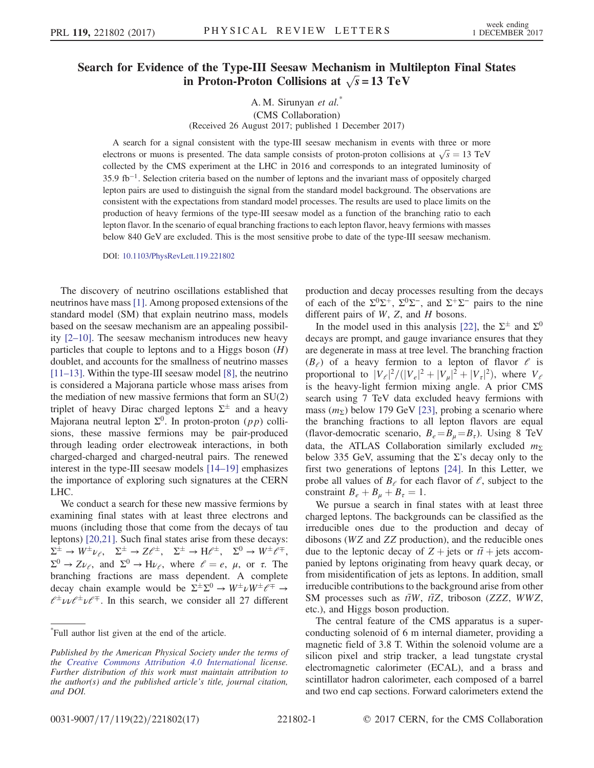## Search for Evidence of the Type-III Seesaw Mechanism in Multilepton Final States in Proton-Proton Collisions at  $\sqrt{s} = 13 \text{ TeV}$

## A. M. Sirunyan et al.<sup>\*</sup> (CMS Collaboration) (Received 26 August 2017; published 1 December 2017)

A search for a signal consistent with the type-III seesaw mechanism in events with three or more electrons or muons is presented. The data sample consists of proton-proton collisions at  $\sqrt{s} = 13 \text{ TeV}$ <br>collected by the CMS experiment at the LHC in 2016 and corresponds to an integrated luminosity of collected by the CMS experiment at the LHC in 2016 and corresponds to an integrated luminosity of 35.9 fb<sup>-1</sup>. Selection criteria based on the number of leptons and the invariant mass of oppositely charged lepton pairs are used to distinguish the signal from the standard model background. The observations are consistent with the expectations from standard model processes. The results are used to place limits on the production of heavy fermions of the type-III seesaw model as a function of the branching ratio to each lepton flavor. In the scenario of equal branching fractions to each lepton flavor, heavy fermions with masses below 840 GeV are excluded. This is the most sensitive probe to date of the type-III seesaw mechanism.

DOI: [10.1103/PhysRevLett.119.221802](https://doi.org/10.1103/PhysRevLett.119.221802)

The discovery of neutrino oscillations established that neutrinos have mass [\[1\]](#page-4-0). Among proposed extensions of the standard model (SM) that explain neutrino mass, models based on the seesaw mechanism are an appealing possibility [2–[10\]](#page-4-1). The seesaw mechanism introduces new heavy particles that couple to leptons and to a Higgs boson  $(H)$ doublet, and accounts for the smallness of neutrino masses [\[11](#page-4-2)–13]. Within the type-III seesaw model [\[8\]](#page-4-3), the neutrino is considered a Majorana particle whose mass arises from the mediation of new massive fermions that form an SU(2) triplet of heavy Dirac charged leptons  $\Sigma^{\pm}$  and a heavy Majorana neutral lepton  $\Sigma^0$ . In proton-proton  $(pp)$  collisions, these massive fermions may be pair-produced through leading order electroweak interactions, in both charged-charged and charged-neutral pairs. The renewed interest in the type-III seesaw models [\[14](#page-4-4)–19] emphasizes the importance of exploring such signatures at the CERN LHC.

We conduct a search for these new massive fermions by examining final states with at least three electrons and muons (including those that come from the decays of tau leptons) [\[20,21\].](#page-4-5) Such final states arise from these decays:  $\Sigma^{\pm} \to W^{\pm} \nu_{\ell}$ ,  $\Sigma^{\pm} \to Z \ell^{\pm}$ ,  $\Sigma^{\pm} \to H \ell^{\pm}$ ,  $\Sigma^{0} \to W^{\pm} \ell^{\mp}$ ,  $\Sigma^0 \to Z \nu_e$ , and  $\Sigma^0 \to H \nu_e$ , where  $\ell = e, \mu$ , or  $\tau$ . The branching fractions are mass dependent. A complete decay chain example would be  $\Sigma^{\pm} \Sigma^{0} \rightarrow W^{\pm} \nu W^{\pm} \ell^{\mp} \rightarrow$  $\ell^{\pm} \nu \ell^{\pm} \nu \ell^{\mp}$ . In this search, we consider all 27 different production and decay processes resulting from the decays of each of the  $\Sigma^0\Sigma^+$ ,  $\Sigma^0\Sigma^-$ , and  $\Sigma^+\Sigma^-$  pairs to the nine different pairs of  $W$ ,  $Z$ , and  $H$  bosons.

In the model used in this analysis [\[22\],](#page-4-6) the  $\Sigma^{\pm}$  and  $\Sigma^{0}$ decays are prompt, and gauge invariance ensures that they are degenerate in mass at tree level. The branching fraction  $(B_\ell)$  of a heavy fermion to a lepton of flavor  $\ell$  is proportional to  $|V_e|^2/(|V_e|^2+|V_\mu|^2+|V_\tau|^2)$ , where  $V_e$ <br>is the heavy-light fermion mixing angle A prior CMS is the heavy-light fermion mixing angle. A prior CMS search using 7 TeV data excluded heavy fermions with mass  $(m_{\Sigma})$  below 179 GeV [\[23\],](#page-5-0) probing a scenario where the branching fractions to all lepton flavors are equal (flavor-democratic scenario,  $B_e = B_u = B_{\tau}$ ). Using 8 TeV data, the ATLAS Collaboration similarly excluded  $m_{\Sigma}$ below 335 GeV, assuming that the  $\Sigma$ 's decay only to the first two generations of leptons [\[24\]](#page-5-1). In this Letter, we probe all values of  $B_\ell$  for each flavor of  $\ell$ , subject to the constraint  $B_e + B_u + B_\tau = 1$ .

We pursue a search in final states with at least three charged leptons. The backgrounds can be classified as the irreducible ones due to the production and decay of dibosons (WZ and ZZ production), and the reducible ones due to the leptonic decay of  $Z +$  jets or  $t\bar{t}$  + jets accompanied by leptons originating from heavy quark decay, or from misidentification of jets as leptons. In addition, small irreducible contributions to the background arise from other SM processes such as  $t\bar{t}W$ ,  $t\bar{t}Z$ , triboson (ZZZ, WWZ, etc.), and Higgs boson production.

The central feature of the CMS apparatus is a superconducting solenoid of 6 m internal diameter, providing a magnetic field of 3.8 T. Within the solenoid volume are a silicon pixel and strip tracker, a lead tungstate crystal electromagnetic calorimeter (ECAL), and a brass and scintillator hadron calorimeter, each composed of a barrel and two end cap sections. Forward calorimeters extend the

<sup>\*</sup> Full author list given at the end of the article.

Published by the American Physical Society under the terms of the [Creative Commons Attribution 4.0 International](https://creativecommons.org/licenses/by/4.0/) license. Further distribution of this work must maintain attribution to the author(s) and the published article's title, journal citation, and DOI.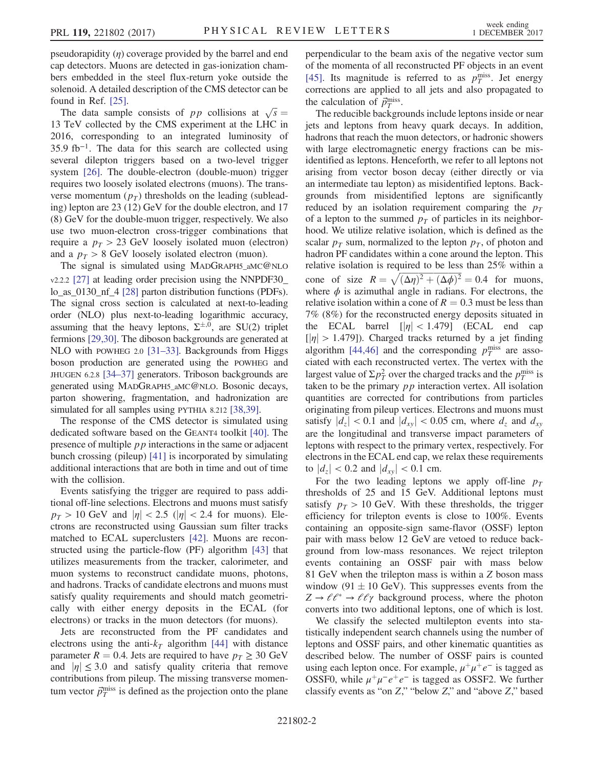pseudorapidity  $(\eta)$  coverage provided by the barrel and end cap detectors. Muons are detected in gas-ionization chambers embedded in the steel flux-return yoke outside the solenoid. A detailed description of the CMS detector can be found in Ref. [\[25\]](#page-5-2).

The data sample consists of pp collisions at  $\sqrt{s}$  = TeV collected by the CMS experiment at the LHC in 13 TeV collected by the CMS experiment at the LHC in 2016, corresponding to an integrated luminosity of  $35.9 \text{ fb}^{-1}$ . The data for this search are collected using several dilepton triggers based on a two-level trigger system [\[26\]](#page-5-3). The double-electron (double-muon) trigger requires two loosely isolated electrons (muons). The transverse momentum  $(p_T)$  thresholds on the leading (subleading) lepton are 23 (12) GeV for the double electron, and 17 (8) GeV for the double-muon trigger, respectively. We also use two muon-electron cross-trigger combinations that require a  $p_T > 23$  GeV loosely isolated muon (electron) and a  $p_T > 8$  GeV loosely isolated electron (muon).

The signal is simulated using MADGRAPH5\_aMC@NLO v2.2.2 [\[27\]](#page-5-4) at leading order precision using the NNPDF30\_ lo\_as\_0130\_nf\_4 [\[28\]](#page-5-5) parton distribution functions (PDFs). The signal cross section is calculated at next-to-leading order (NLO) plus next-to-leading logarithmic accuracy, assuming that the heavy leptons,  $\Sigma^{\pm,0}$ , are SU(2) triplet fermions [\[29,30\]](#page-5-6). The diboson backgrounds are generated at NLO with POWHEG 2.0 [\[31](#page-5-7)–33]. Backgrounds from Higgs boson production are generated using the POWHEG and JHUGEN 6.2.8 [\[34](#page-5-8)–37] generators. Triboson backgrounds are generated using MADGRAPH5 aMC@NLO. Bosonic decays, parton showering, fragmentation, and hadronization are simulated for all samples using PYTHIA 8.212 [\[38,39\].](#page-5-9)

The response of the CMS detector is simulated using dedicated software based on the GEANT4 toolkit [\[40\]](#page-5-10). The presence of multiple  $p p$  interactions in the same or adjacent bunch crossing (pileup) [\[41\]](#page-5-11) is incorporated by simulating additional interactions that are both in time and out of time with the collision.

Events satisfying the trigger are required to pass additional off-line selections. Electrons and muons must satisfy  $p_T > 10$  GeV and  $|\eta| < 2.5$  ( $|\eta| < 2.4$  for muons). Electrons are reconstructed using Gaussian sum filter tracks matched to ECAL superclusters [\[42\]](#page-5-12). Muons are reconstructed using the particle-flow (PF) algorithm [\[43\]](#page-5-13) that utilizes measurements from the tracker, calorimeter, and muon systems to reconstruct candidate muons, photons, and hadrons. Tracks of candidate electrons and muons must satisfy quality requirements and should match geometrically with either energy deposits in the ECAL (for electrons) or tracks in the muon detectors (for muons).

Jets are reconstructed from the PF candidates and electrons using the anti- $k<sub>T</sub>$  algorithm [\[44\]](#page-5-14) with distance parameter  $R = 0.4$ . Jets are required to have  $p_T \geq 30$  GeV and  $|\eta| \leq 3.0$  and satisfy quality criteria that remove contributions from pileup. The missing transverse momentum vector  $\vec{p}_T^{\text{miss}}$  is defined as the projection onto the plane perpendicular to the beam axis of the negative vector sum of the momenta of all reconstructed PF objects in an event [\[45\]](#page-5-15). Its magnitude is referred to as  $p_T^{\text{miss}}$ . Jet energy corrections are applied to all jets and also propagated to the calculation of  $\vec{p}_T^{\text{miss}}$ .

The reducible backgrounds include leptons inside or near jets and leptons from heavy quark decays. In addition, hadrons that reach the muon detectors, or hadronic showers with large electromagnetic energy fractions can be misidentified as leptons. Henceforth, we refer to all leptons not arising from vector boson decay (either directly or via an intermediate tau lepton) as misidentified leptons. Backgrounds from misidentified leptons are significantly reduced by an isolation requirement comparing the  $p_T$ of a lepton to the summed  $p<sub>T</sub>$  of particles in its neighborhood. We utilize relative isolation, which is defined as the scalar  $p_T$  sum, normalized to the lepton  $p_T$ , of photon and hadron PF candidates within a cone around the lepton. This relative isolation is required to be less than 25% within a cone of size  $R = \sqrt{(\Delta \eta)^2 + (\Delta \phi)^2} = 0.4$  for muons,<br>where  $\phi$  is azimuthal angle in radians. For electrons the where  $\phi$  is azimuthal angle in radians. For electrons, the relative isolation within a cone of  $R = 0.3$  must be less than 7% (8%) for the reconstructed energy deposits situated in the ECAL barrel  $\vert \eta \vert < 1.479$ ] (ECAL end cap  $[|\eta| > 1.479]$ ). Charged tracks returned by a jet finding algorithm [\[44,46\]](#page-5-14) and the corresponding  $p_T^{\text{miss}}$  are associated with each reconstructed vertex. The vertex with the largest value of  $\Sigma p_T^2$  over the charged tracks and the  $p_T^{\text{miss}}$  is taken to be the primary pp interaction vertex. All isolation quantities are corrected for contributions from particles originating from pileup vertices. Electrons and muons must satisfy  $|d_z|$  < 0.1 and  $|d_{xy}|$  < 0.05 cm, where  $d_z$  and  $d_{xy}$ are the longitudinal and transverse impact parameters of leptons with respect to the primary vertex, respectively. For electrons in the ECAL end cap, we relax these requirements to  $|d_z|$  < 0.2 and  $|d_{xy}|$  < 0.1 cm.

For the two leading leptons we apply off-line  $p_T$ thresholds of 25 and 15 GeV. Additional leptons must satisfy  $p_T > 10$  GeV. With these thresholds, the trigger efficiency for trilepton events is close to 100%. Events containing an opposite-sign same-flavor (OSSF) lepton pair with mass below 12 GeV are vetoed to reduce background from low-mass resonances. We reject trilepton events containing an OSSF pair with mass below 81 GeV when the trilepton mass is within a Z boson mass window (91  $\pm$  10 GeV). This suppresses events from the  $Z \rightarrow \ell \ell^* \rightarrow \ell \ell^*$  background process, where the photon  $Z \rightarrow \ell \ell^* \rightarrow \ell \ell \gamma$  background process, where the photon converts into two additional leptons, one of which is lost.

We classify the selected multilepton events into statistically independent search channels using the number of leptons and OSSF pairs, and other kinematic quantities as described below. The number of OSSF pairs is counted using each lepton once. For example,  $\mu^+\mu^+e^-$  is tagged as OSSF0, while  $\mu^+\mu^-e^+e^-$  is tagged as OSSF2. We further classify events as "on  $Z$ ," "below  $Z$ ," and "above  $Z$ ," based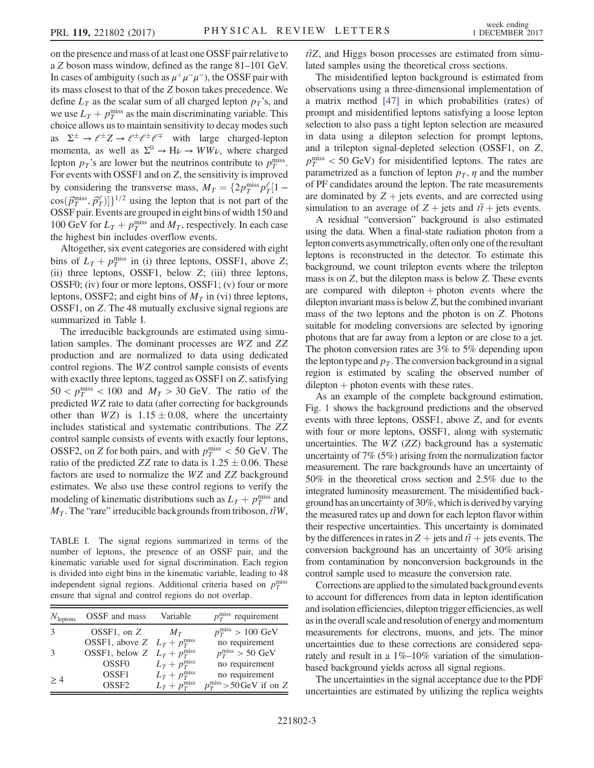on the presence and mass of at least one OSSF pair relative to a Z boson mass window, defined as the range 81–101 GeV. In cases of ambiguity (such as  $\mu^+\mu^-\mu^-$ ), the OSSF pair with its mass closest to that of the Z boson takes precedence. We define  $L_T$  as the scalar sum of all charged lepton  $p_T$ 's, and we use  $L_T + p_T^{\text{miss}}$  as the main discriminating variable. This choice allows us to maintain sensitivity to decay modes such choice allows us to maintain sensitivity to decay modes such as  $\Sigma^{\pm} \to \ell^{\pm} Z \to \ell^{\pm} \ell^{\pm} \ell^{\mp}$  with large charged-lepton momenta, as well as  $\Sigma^0 \to H \nu \to WW \nu$ , where charged lepton  $p_T$ 's are lower but the neutrinos contribute to  $p_T^{\text{miss}}$ . For events with OSSF1 and on Z, the sensitivity is improved by considering the transverse mass,  $M_T = \left\{2p_T^{\text{miss}}p_T^{\ell}\right[1-\cos(\vec{\theta}^{\text{miss}})\vec{\sigma}^{\ell})\right\}$  $\cos(\vec{p}_T^{\text{miss}}, \vec{p}_T^e)]$ <sup>1/2</sup> using the lepton that is not part of the OSSE pair Events are grouned in eight hins of width 150 and OSSF pair. Events are grouped in eight bins of width 150 and 100 GeV for  $L_T + p_T^{\text{miss}}$  and  $M_T$ , respectively. In each case<br>the bighest bin includes overflow events the highest bin includes overflow events.

Altogether, six event categories are considered with eight bins of  $L_T + p_T^{\text{miss}}$  in (i) three leptons, OSSF1, above Z;<br>(ii) three leptons, OSSF1, below Z; (iii) three leptons (ii) three leptons, OSSF1, below Z; (iii) three leptons, OSSF0; (iv) four or more leptons, OSSF1; (v) four or more leptons, OSSF2; and eight bins of  $M<sub>T</sub>$  in (vi) three leptons, OSSF1, on Z. The 48 mutually exclusive signal regions are summarized in Table [I.](#page-2-0)

The irreducible backgrounds are estimated using simulation samples. The dominant processes are WZ and ZZ production and are normalized to data using dedicated control regions. The WZ control sample consists of events with exactly three leptons, tagged as OSSF1 on Z, satisfying  $50 < p_T^{\text{miss}} < 100$  and  $M_T > 30$  GeV. The ratio of the predicted WZ rate to data (after correcting for backgrounds other than  $WZ$ ) is  $1.15 \pm 0.08$ , where the uncertainty<br>includes statistical and systematic contributions. The ZZ includes statistical and systematic contributions. The ZZ control sample consists of events with exactly four leptons, OSSF2, on Z for both pairs, and with  $p_T^{\text{miss}} < 50$  GeV. The ratio of the predicted  $\overline{Z}Z$  rate to data is  $1.25 \pm 0.06$ . These factors are used to normalize the WZ and ZZ background factors are used to normalize the WZ and ZZ background estimates. We also use these control regions to verify the modeling of kinematic distributions such as  $L_T + p_T^{\text{miss}}$  and  $M_T$ . The "rare" irreducible backgrounds from triboson  $t\bar{t}W$  $M_T$ . The "rare" irreducible backgrounds from triboson,  $t\bar{t}W$ ,

<span id="page-2-0"></span>TABLE I. The signal regions summarized in terms of the number of leptons, the presence of an OSSF pair, and the kinematic variable used for signal discrimination. Each region is divided into eight bins in the kinematic variable, leading to 48 independent signal regions. Additional criteria based on  $p_T^{\text{miss}}$ ensure that signal and control regions do not overlap.

| $N_{\text{leptons}}$ | OSSF and mass                            | Variable                  | $p_T^{\text{miss}}$ requirement       |
|----------------------|------------------------------------------|---------------------------|---------------------------------------|
| 3                    | $OSSF1$ , on $Z$                         | $M_{T}$                   | $p_T^{\text{miss}} > 100 \text{ GeV}$ |
|                      | OSSF1, above $Z L_T + p_T^{\text{miss}}$ |                           | no requirement                        |
| 3                    | OSSF1, below $Z L_T + p_T^{\text{miss}}$ |                           | $p_T^{\text{miss}} > 50 \text{ GeV}$  |
|                      | <b>OSSF0</b>                             | $L_T + p_T^{\text{miss}}$ | no requirement                        |
| >4                   | OSSF1                                    | $L_T + p_T^{\text{miss}}$ | no requirement                        |
|                      | OSSF <sub>2</sub>                        | $L_T + p_T^{\text{miss}}$ | $p_T^{\text{miss}} > 50$ GeV if on Z  |
|                      |                                          |                           |                                       |

 $t\bar{t}Z$ , and Higgs boson processes are estimated from simulated samples using the theoretical cross sections.

The misidentified lepton background is estimated from observations using a three-dimensional implementation of a matrix method [\[47\]](#page-5-16) in which probabilities (rates) of prompt and misidentified leptons satisfying a loose lepton selection to also pass a tight lepton selection are measured in data using a dilepton selection for prompt leptons, and a trilepton signal-depleted selection (OSSF1, on Z,  $p_T^{\text{miss}} < 50$  GeV) for misidentified leptons. The rates are parametrized as a function of lepton  $p<sub>T</sub>$ ,  $\eta$  and the number of PF candidates around the lepton. The rate measurements are dominated by  $Z + \text{jets}$  events, and are corrected using simulation to an average of  $Z + \text{jets}$  and  $t\bar{t} + \text{jets}$  events.

A residual "conversion" background is also estimated using the data. When a final-state radiation photon from a lepton converts asymmetrically, often only one of the resultant leptons is reconstructed in the detector. To estimate this background, we count trilepton events where the trilepton mass is on Z, but the dilepton mass is below Z. These events are compared with dilepton  $+$  photon events where the dilepton invariant mass is below Z, but the combined invariant mass of the two leptons and the photon is on Z. Photons suitable for modeling conversions are selected by ignoring photons that are far away from a lepton or are close to a jet. The photon conversion rates are 3% to 5% depending upon the lepton type and  $p<sub>T</sub>$ . The conversion background in a signal region is estimated by scaling the observed number of dilepton  $+$  photon events with these rates.

As an example of the complete background estimation, Fig. [1](#page-3-0) shows the background predictions and the observed events with three leptons, OSSF1, above Z, and for events with four or more leptons, OSSF1, along with systematic uncertainties. The WZ (ZZ) background has a systematic uncertainty of 7% (5%) arising from the normalization factor measurement. The rare backgrounds have an uncertainty of 50% in the theoretical cross section and 2.5% due to the integrated luminosity measurement. The misidentified background has an uncertainty of 30%, which is derived by varying the measured rates up and down for each lepton flavor within their respective uncertainties. This uncertainty is dominated by the differences in rates in  $Z +$  jets and  $t\bar{t}$  + jets events. The conversion background has an uncertainty of 30% arising from contamination by nonconversion backgrounds in the control sample used to measure the conversion rate.

Corrections are applied to the simulated background events to account for differences from data in lepton identification and isolation efficiencies, dilepton trigger efficiencies, as well as in the overall scale and resolution of energy and momentum measurements for electrons, muons, and jets. The minor uncertainties due to these corrections are considered separately and result in a 1%–10% variation of the simulationbased background yields across all signal regions.

The uncertainties in the signal acceptance due to the PDF uncertainties are estimated by utilizing the replica weights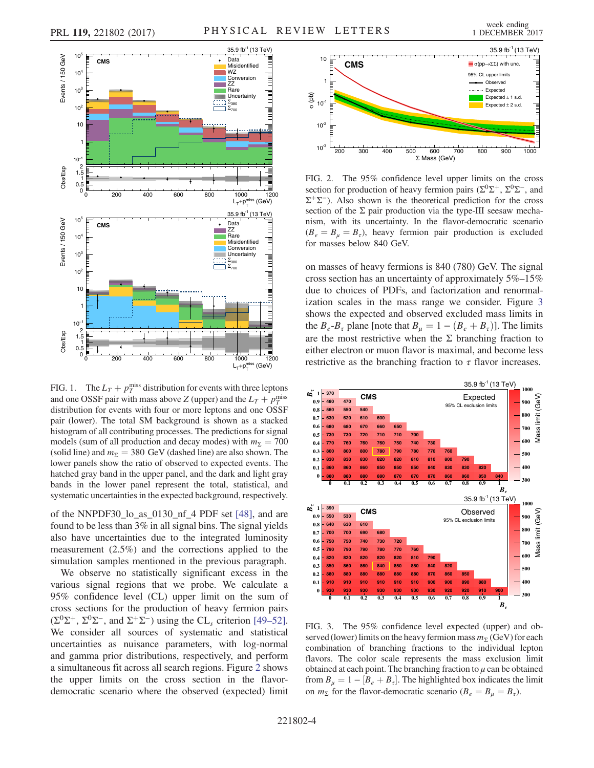<span id="page-3-0"></span>

FIG. 1. The  $L_T + p_T^{\text{miss}}$  distribution for events with three leptons<br>and one OSSE pair with mass above Z (upper) and the  $L = \text{m}^{\text{miss}}$ and one OSSF pair with mass above Z (upper) and the  $L_T + p_T^{\text{miss}}$ <br>distribution for events with four or more leptons and one OSSF distribution for events with four or more leptons and one OSSF pair (lower). The total SM background is shown as a stacked histogram of all contributing processes. The predictions for signal models (sum of all production and decay modes) with  $m_{\Sigma} = 700$ (solid line) and  $m_{\Sigma} = 380 \text{ GeV}$  (dashed line) are also shown. The lower panels show the ratio of observed to expected events. The hatched gray band in the upper panel, and the dark and light gray bands in the lower panel represent the total, statistical, and systematic uncertainties in the expected background, respectively.

of the NNPDF30\_lo\_as\_0130\_nf\_4 PDF set [\[48\]](#page-5-17), and are found to be less than 3% in all signal bins. The signal yields also have uncertainties due to the integrated luminosity measurement (2.5%) and the corrections applied to the simulation samples mentioned in the previous paragraph.

We observe no statistically significant excess in the various signal regions that we probe. We calculate a 95% confidence level (CL) upper limit on the sum of cross sections for the production of heavy fermion pairs ( $\Sigma^0 \Sigma^+$ ,  $\Sigma^0 \Sigma^-$ , and  $\Sigma^+ \Sigma^-$ ) using the CL<sub>s</sub> criterion [\[49](#page-5-18)–52]. We consider all sources of systematic and statistical uncertainties as nuisance parameters, with log-normal and gamma prior distributions, respectively, and perform a simultaneous fit across all search regions. Figure [2](#page-3-1) shows the upper limits on the cross section in the flavordemocratic scenario where the observed (expected) limit

<span id="page-3-1"></span>

FIG. 2. The 95% confidence level upper limits on the cross section for production of heavy fermion pairs ( $\Sigma^0\Sigma^+$ ,  $\Sigma^0\Sigma^-$ , and  $\Sigma^+\Sigma^-$ ). Also shown is the theoretical prediction for the cross section of the  $\Sigma$  pair production via the type-III seesaw mechanism, with its uncertainty. In the flavor-democratic scenario  $(B_e = B_u = B_\tau)$ , heavy fermion pair production is excluded for masses below 840 GeV.

on masses of heavy fermions is 840 (780) GeV. The signal cross section has an uncertainty of approximately 5%–15% due to choices of PDFs, and factorization and renormalization scales in the mass range we consider. Figure [3](#page-3-2) shows the expected and observed excluded mass limits in the  $B_e - B_\tau$  plane [note that  $B_u = 1 - (B_e + B_\tau)$ ]. The limits are the most restrictive when the  $\Sigma$  branching fraction to either electron or muon flavor is maximal, and become less restrictive as the branching fraction to  $\tau$  flavor increases.

<span id="page-3-2"></span>

FIG. 3. The 95% confidence level expected (upper) and observed (lower) limits on the heavy fermion mass  $m<sub>2</sub>$  (GeV) for each combination of branching fractions to the individual lepton flavors. The color scale represents the mass exclusion limit obtained at each point. The branching fraction to  $\mu$  can be obtained from  $B_{\mu} = 1 - [B_e + B_{\tau}]$ . The highlighted box indicates the limit on  $m_{\Sigma}$  for the flavor-democratic scenario ( $B_e = B_\mu = B_\tau$ ).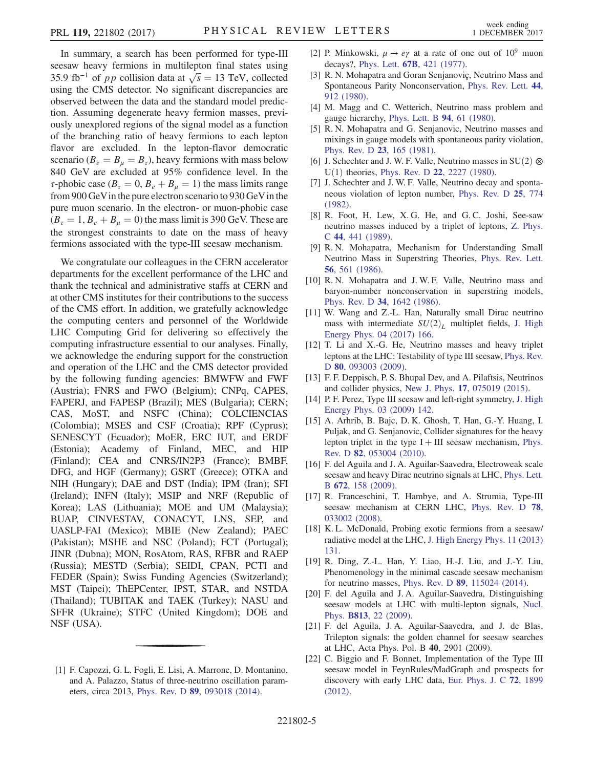In summary, a search has been performed for type-III seesaw heavy fermions in multilepton final states using 35.9 fb<sup>-1</sup> of *pp* collision data at  $\sqrt{s} = 13$  TeV, collected using the CMS detector. No significant discrepancies are using the CMS detector. No significant discrepancies are observed between the data and the standard model prediction. Assuming degenerate heavy fermion masses, previously unexplored regions of the signal model as a function of the branching ratio of heavy fermions to each lepton flavor are excluded. In the lepton-flavor democratic scenario ( $B_e = B_u = B_z$ ), heavy fermions with mass below 840 GeV are excluded at 95% confidence level. In the  $\tau$ -phobic case ( $B_\tau = 0$ ,  $B_e + B_\mu = 1$ ) the mass limits range from 900 GeVin the pure electron scenario to 930 GeVin the pure muon scenario. In the electron- or muon-phobic case  $(B<sub>\tau</sub> = 1, B<sub>e</sub> + B<sub>\mu</sub> = 0)$  the mass limit is 390 GeV. These are the strongest constraints to date on the mass of heavy fermions associated with the type-III seesaw mechanism.

We congratulate our colleagues in the CERN accelerator departments for the excellent performance of the LHC and thank the technical and administrative staffs at CERN and at other CMS institutes for their contributions to the success of the CMS effort. In addition, we gratefully acknowledge the computing centers and personnel of the Worldwide LHC Computing Grid for delivering so effectively the computing infrastructure essential to our analyses. Finally, we acknowledge the enduring support for the construction and operation of the LHC and the CMS detector provided by the following funding agencies: BMWFW and FWF (Austria); FNRS and FWO (Belgium); CNPq, CAPES, FAPERJ, and FAPESP (Brazil); MES (Bulgaria); CERN; CAS, MoST, and NSFC (China); COLCIENCIAS (Colombia); MSES and CSF (Croatia); RPF (Cyprus); SENESCYT (Ecuador); MoER, ERC IUT, and ERDF (Estonia); Academy of Finland, MEC, and HIP (Finland); CEA and CNRS/IN2P3 (France); BMBF, DFG, and HGF (Germany); GSRT (Greece); OTKA and NIH (Hungary); DAE and DST (India); IPM (Iran); SFI (Ireland); INFN (Italy); MSIP and NRF (Republic of Korea); LAS (Lithuania); MOE and UM (Malaysia); BUAP, CINVESTAV, CONACYT, LNS, SEP, and UASLP-FAI (Mexico); MBIE (New Zealand); PAEC (Pakistan); MSHE and NSC (Poland); FCT (Portugal); JINR (Dubna); MON, RosAtom, RAS, RFBR and RAEP (Russia); MESTD (Serbia); SEIDI, CPAN, PCTI and FEDER (Spain); Swiss Funding Agencies (Switzerland); MST (Taipei); ThEPCenter, IPST, STAR, and NSTDA (Thailand); TUBITAK and TAEK (Turkey); NASU and SFFR (Ukraine); STFC (United Kingdom); DOE and NSF (USA).

- <span id="page-4-1"></span>[2] P. Minkowski,  $\mu \rightarrow e\gamma$  at a rate of one out of 10<sup>9</sup> muon decays?, Phys. Lett. 67B[, 421 \(1977\)](https://doi.org/10.1016/0370-2693(77)90435-X).
- [3] R. N. Mohapatra and Goran Senjanoviç, Neutrino Mass and Spontaneous Parity Nonconservation, [Phys. Rev. Lett.](https://doi.org/10.1103/PhysRevLett.44.912) 44, [912 \(1980\)](https://doi.org/10.1103/PhysRevLett.44.912).
- [4] M. Magg and C. Wetterich, Neutrino mass problem and gauge hierarchy, [Phys. Lett. B](https://doi.org/10.1016/0370-2693(80)90825-4) 94, 61 (1980).
- [5] R. N. Mohapatra and G. Senjanovic, Neutrino masses and mixings in gauge models with spontaneous parity violation, [Phys. Rev. D](https://doi.org/10.1103/PhysRevD.23.165) 23, 165 (1981).
- [6] J. Schechter and J. W. F. Valle, Neutrino masses in SU(2)  $\otimes$  $U(1)$  theories, Phys. Rev. D 22[, 2227 \(1980\).](https://doi.org/10.1103/PhysRevD.22.2227)
- [7] J. Schechter and J. W. F. Valle, Neutrino decay and spontaneous violation of lepton number, [Phys. Rev. D](https://doi.org/10.1103/PhysRevD.25.774) 25, 774 [\(1982\).](https://doi.org/10.1103/PhysRevD.25.774)
- <span id="page-4-3"></span>[8] R. Foot, H. Lew, X. G. He, and G. C. Joshi, See-saw neutrino masses induced by a triplet of leptons, [Z. Phys.](https://doi.org/10.1007/BF01415558) C 44[, 441 \(1989\)](https://doi.org/10.1007/BF01415558).
- [9] R. N. Mohapatra, Mechanism for Understanding Small Neutrino Mass in Superstring Theories, [Phys. Rev. Lett.](https://doi.org/10.1103/PhysRevLett.56.561) 56[, 561 \(1986\).](https://doi.org/10.1103/PhysRevLett.56.561)
- [10] R. N. Mohapatra and J. W. F. Valle, Neutrino mass and baryon-number nonconservation in superstring models, Phys. Rev. D 34[, 1642 \(1986\).](https://doi.org/10.1103/PhysRevD.34.1642)
- <span id="page-4-2"></span>[11] W. Wang and Z.-L. Han, Naturally small Dirac neutrino mass with intermediate  $SU(2)_L$  multiplet fields, [J. High](https://doi.org/10.1007/JHEP04(2017)166) [Energy Phys. 04 \(2017\) 166.](https://doi.org/10.1007/JHEP04(2017)166)
- [12] T. Li and X.-G. He, Neutrino masses and heavy triplet leptons at the LHC: Testability of type III seesaw, [Phys. Rev.](https://doi.org/10.1103/PhysRevD.80.093003) D **80**[, 093003 \(2009\)](https://doi.org/10.1103/PhysRevD.80.093003).
- [13] F. F. Deppisch, P. S. Bhupal Dev, and A. Pilaftsis, Neutrinos and collider physics, New J. Phys. 17[, 075019 \(2015\)](https://doi.org/10.1088/1367-2630/17/7/075019).
- <span id="page-4-4"></span>[14] P. F. Perez, Type III seesaw and left-right symmetry, [J. High](https://doi.org/10.1088/1126-6708/2009/03/142) [Energy Phys. 03 \(2009\) 142.](https://doi.org/10.1088/1126-6708/2009/03/142)
- [15] A. Arhrib, B. Bajc, D. K. Ghosh, T. Han, G.-Y. Huang, I. Puljak, and G. Senjanovic, Collider signatures for the heavy lepton triplet in the type  $I + III$  seesaw mechanism, [Phys.](https://doi.org/10.1103/PhysRevD.82.053004) Rev. D 82[, 053004 \(2010\)](https://doi.org/10.1103/PhysRevD.82.053004).
- [16] F. del Aguila and J. A. Aguilar-Saavedra, Electroweak scale seesaw and heavy Dirac neutrino signals at LHC, [Phys. Lett.](https://doi.org/10.1016/j.physletb.2009.01.010) B 672[, 158 \(2009\)](https://doi.org/10.1016/j.physletb.2009.01.010).
- [17] R. Franceschini, T. Hambye, and A. Strumia, Type-III seesaw mechanism at CERN LHC, [Phys. Rev. D](https://doi.org/10.1103/PhysRevD.78.033002) 78, [033002 \(2008\).](https://doi.org/10.1103/PhysRevD.78.033002)
- [18] K. L. McDonald, Probing exotic fermions from a seesaw/ radiative model at the LHC, [J. High Energy Phys. 11 \(2013\)](https://doi.org/10.1007/JHEP11(2013)131) [131.](https://doi.org/10.1007/JHEP11(2013)131)
- [19] R. Ding, Z.-L. Han, Y. Liao, H.-J. Liu, and J.-Y. Liu, Phenomenology in the minimal cascade seesaw mechanism for neutrino masses, Phys. Rev. D 89[, 115024 \(2014\).](https://doi.org/10.1103/PhysRevD.89.115024)
- <span id="page-4-5"></span>[20] F. del Aguila and J. A. Aguilar-Saavedra, Distinguishing seesaw models at LHC with multi-lepton signals, [Nucl.](https://doi.org/10.1016/j.nuclphysb.2008.12.029) Phys. B813[, 22 \(2009\)](https://doi.org/10.1016/j.nuclphysb.2008.12.029).
- [21] F. del Aguila, J. A. Aguilar-Saavedra, and J. de Blas, Trilepton signals: the golden channel for seesaw searches at LHC, Acta Phys. Pol. B 40, 2901 (2009).
- <span id="page-4-6"></span>[22] C. Biggio and F. Bonnet, Implementation of the Type III seesaw model in FeynRules/MadGraph and prospects for discovery with early LHC data, [Eur. Phys. J. C](https://doi.org/10.1140/epjc/s10052-012-1899-z) 72, 1899 [\(2012\).](https://doi.org/10.1140/epjc/s10052-012-1899-z)

<span id="page-4-0"></span><sup>[1]</sup> F. Capozzi, G. L. Fogli, E. Lisi, A. Marrone, D. Montanino, and A. Palazzo, Status of three-neutrino oscillation parameters, circa 2013, Phys. Rev. D 89[, 093018 \(2014\).](https://doi.org/10.1103/PhysRevD.89.093018)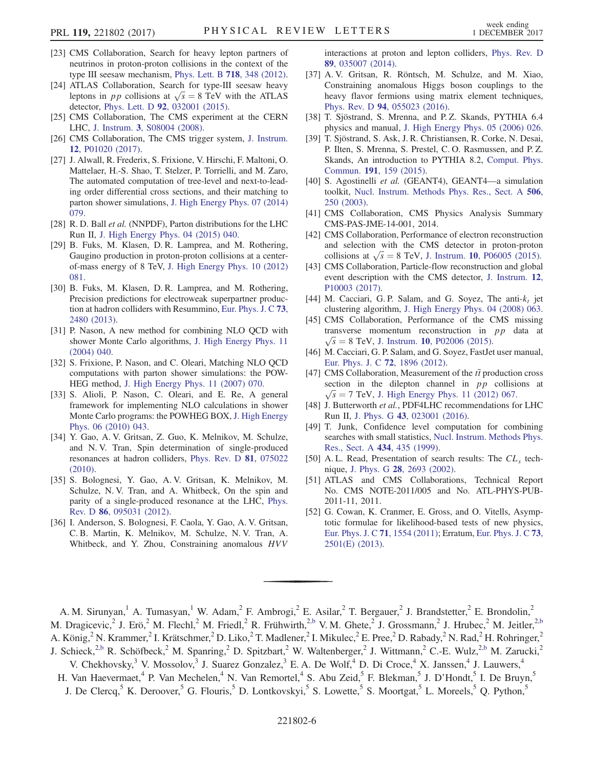- <span id="page-5-0"></span>[23] CMS Collaboration, Search for heavy lepton partners of neutrinos in proton-proton collisions in the context of the type III seesaw mechanism, [Phys. Lett. B](https://doi.org/10.1016/j.physletb.2012.10.070) 718, 348 (2012).
- <span id="page-5-1"></span>[24] ATLAS Collaboration, Search for type-III seesaw heavy leptons in *pp* collisions at  $\sqrt{s} = 8$  TeV with the ATLAS detector Phys Lett D **92** 032001 (2015) detector, Phys. Lett. D 92[, 032001 \(2015\).](https://doi.org/10.1103/PhysRevD.92.032001)
- <span id="page-5-2"></span>[25] CMS Collaboration, The CMS experiment at the CERN LHC, J. Instrum. 3[, S08004 \(2008\).](https://doi.org/10.1088/1748-0221/3/08/S08004)
- <span id="page-5-3"></span>[26] CMS Collaboration, The CMS trigger system, [J. Instrum.](https://doi.org/10.1088/1748-0221/12/01/P01020) 12[, P01020 \(2017\)](https://doi.org/10.1088/1748-0221/12/01/P01020).
- <span id="page-5-4"></span>[27] J. Alwall, R. Frederix, S. Frixione, V. Hirschi, F. Maltoni, O. Mattelaer, H.-S. Shao, T. Stelzer, P. Torrielli, and M. Zaro, The automated computation of tree-level and next-to-leading order differential cross sections, and their matching to parton shower simulations, [J. High Energy Phys. 07 \(2014\)](https://doi.org/10.1007/JHEP07(2014)079) [079.](https://doi.org/10.1007/JHEP07(2014)079)
- <span id="page-5-5"></span>[28] R. D. Ball et al. (NNPDF), Parton distributions for the LHC Run II, [J. High Energy Phys. 04 \(2015\) 040.](https://doi.org/10.1007/JHEP04(2015)040)
- <span id="page-5-6"></span>[29] B. Fuks, M. Klasen, D.R. Lamprea, and M. Rothering, Gaugino production in proton-proton collisions at a centerof-mass energy of 8 TeV, [J. High Energy Phys. 10 \(2012\)](https://doi.org/10.1007/JHEP10(2012)081) [081.](https://doi.org/10.1007/JHEP10(2012)081)
- [30] B. Fuks, M. Klasen, D. R. Lamprea, and M. Rothering, Precision predictions for electroweak superpartner production at hadron colliders with Resummino, [Eur. Phys. J. C](https://doi.org/10.1140/epjc/s10052-013-2480-0) 73, [2480 \(2013\)](https://doi.org/10.1140/epjc/s10052-013-2480-0).
- <span id="page-5-7"></span>[31] P. Nason, A new method for combining NLO QCD with shower Monte Carlo algorithms, [J. High Energy Phys. 11](https://doi.org/10.1088/1126-6708/2004/11/040) [\(2004\) 040.](https://doi.org/10.1088/1126-6708/2004/11/040)
- [32] S. Frixione, P. Nason, and C. Oleari, Matching NLO QCD computations with parton shower simulations: the POW-HEG method, [J. High Energy Phys. 11 \(2007\) 070.](https://doi.org/10.1088/1126-6708/2007/11/070)
- [33] S. Alioli, P. Nason, C. Oleari, and E. Re, A general framework for implementing NLO calculations in shower Monte Carlo programs: the POWHEG BOX, [J. High Energy](https://doi.org/10.1007/JHEP06(2010)043) [Phys. 06 \(2010\) 043.](https://doi.org/10.1007/JHEP06(2010)043)
- <span id="page-5-8"></span>[34] Y. Gao, A. V. Gritsan, Z. Guo, K. Melnikov, M. Schulze, and N. V. Tran, Spin determination of single-produced resonances at hadron colliders, [Phys. Rev. D](https://doi.org/10.1103/PhysRevD.81.075022) 81, 075022 [\(2010\).](https://doi.org/10.1103/PhysRevD.81.075022)
- [35] S. Bolognesi, Y. Gao, A. V. Gritsan, K. Melnikov, M. Schulze, N. V. Tran, and A. Whitbeck, On the spin and parity of a single-produced resonance at the LHC, [Phys.](https://doi.org/10.1103/PhysRevD.86.095031) Rev. D 86[, 095031 \(2012\)](https://doi.org/10.1103/PhysRevD.86.095031).
- [36] I. Anderson, S. Bolognesi, F. Caola, Y. Gao, A. V. Gritsan, C. B. Martin, K. Melnikov, M. Schulze, N. V. Tran, A. Whitbeck, and Y. Zhou, Constraining anomalous HVV

interactions at proton and lepton colliders, [Phys. Rev. D](https://doi.org/10.1103/PhysRevD.89.035007) 89[, 035007 \(2014\).](https://doi.org/10.1103/PhysRevD.89.035007)

- [37] A. V. Gritsan, R. Röntsch, M. Schulze, and M. Xiao, Constraining anomalous Higgs boson couplings to the heavy flavor fermions using matrix element techniques, Phys. Rev. D 94[, 055023 \(2016\)](https://doi.org/10.1103/PhysRevD.94.055023).
- <span id="page-5-9"></span>[38] T. Sjöstrand, S. Mrenna, and P. Z. Skands, PYTHIA 6.4 physics and manual, [J. High Energy Phys. 05 \(2006\) 026.](https://doi.org/10.1088/1126-6708/2006/05/026)
- [39] T. Sjöstrand, S. Ask, J. R. Christiansen, R. Corke, N. Desai, P. Ilten, S. Mrenna, S. Prestel, C. O. Rasmussen, and P. Z. Skands, An introduction to PYTHIA 8.2, [Comput. Phys.](https://doi.org/10.1016/j.cpc.2015.01.024) Commun. 191[, 159 \(2015\)](https://doi.org/10.1016/j.cpc.2015.01.024).
- <span id="page-5-10"></span>[40] S. Agostinelli et al. (GEANT4), GEANT4-a simulation toolkit, [Nucl. Instrum. Methods Phys. Res., Sect. A](https://doi.org/10.1016/S0168-9002(03)01368-8) 506, [250 \(2003\)](https://doi.org/10.1016/S0168-9002(03)01368-8).
- <span id="page-5-11"></span>[41] CMS Collaboration, CMS Physics Analysis Summary CMS-PAS-JME-14-001, 2014.
- <span id="page-5-12"></span>[42] CMS Collaboration, Performance of electron reconstruction and selection with the CMS detector in proton-proton collisions at  $\sqrt{s} = 8$  TeV, J. Instrum. 10[, P06005 \(2015\)](https://doi.org/10.1088/1748-0221/10/06/P06005).<br>CMS Collaboration. Particle-flow reconstruction and global
- <span id="page-5-13"></span>[43] CMS Collaboration, Particle-flow reconstruction and global event description with the CMS detector, [J. Instrum.](https://doi.org/10.1088/1748-0221/12/10/P10003) 12, [P10003 \(2017\)](https://doi.org/10.1088/1748-0221/12/10/P10003).
- <span id="page-5-14"></span>[44] M. Cacciari, G. P. Salam, and G. Soyez, The anti- $k_t$  jet clustering algorithm, [J. High Energy Phys. 04 \(2008\) 063.](https://doi.org/10.1088/1126-6708/2008/04/063)
- <span id="page-5-15"></span>[45] CMS Collaboration, Performance of the CMS missing transverse momentum reconstruction in pp data at  $\sqrt{s}$  = 8 TeV, J. Instrum. 10[, P02006 \(2015\).](https://doi.org/10.1088/1748-0221/10/02/P02006)<br>M. Cacciari G. P. Salam, and G. Sovez, Eastlet
- [46] M. Cacciari, G. P. Salam, and G. Soyez, FastJet user manual, [Eur. Phys. J. C](https://doi.org/10.1140/epjc/s10052-012-1896-2) 72, 1896 (2012).
- <span id="page-5-16"></span>[47] CMS Collaboration, Measurement of the  $t\bar{t}$  production cross section in the dilepton channel in  $pp$  collisions at  $\sqrt{s}$  = 7 TeV, [J. High Energy Phys. 11 \(2012\) 067.](https://doi.org/10.1007/JHEP11(2012)067)
- <span id="page-5-17"></span>[48] J. Butterworth et al., PDF4LHC recommendations for LHC Run II, J. Phys. G 43[, 023001 \(2016\).](https://doi.org/10.1088/0954-3899/43/2/023001)
- <span id="page-5-18"></span>[49] T. Junk, Confidence level computation for combining searches with small statistics, [Nucl. Instrum. Methods Phys.](https://doi.org/10.1016/S0168-9002(99)00498-2) [Res., Sect. A](https://doi.org/10.1016/S0168-9002(99)00498-2) 434, 435 (1999).
- [50] A. L. Read, Presentation of search results: The  $CL<sub>s</sub>$  technique, J. Phys. G 28[, 2693 \(2002\).](https://doi.org/10.1088/0954-3899/28/10/313)
- [51] ATLAS and CMS Collaborations, Technical Report No. CMS NOTE-2011/005 and No. ATL-PHYS-PUB-2011-11, 2011.
- [52] G. Cowan, K. Cranmer, E. Gross, and O. Vitells, Asymptotic formulae for likelihood-based tests of new physics, [Eur. Phys. J. C](https://doi.org/10.1140/epjc/s10052-011-1554-0) 71, 1554 (2011); Erratum, [Eur. Phys. J. C](https://doi.org/10.1140/epjc/s10052-013-2501-z) 73, [2501\(E\) \(2013\)](https://doi.org/10.1140/epjc/s10052-013-2501-z).

A. M. Sirunyan,<sup>1</sup> A. Tumasyan,<sup>1</sup> W. Adam,<sup>2</sup> F. Ambrogi,<sup>2</sup> E. Asilar,<sup>2</sup> T. Bergauer,<sup>2</sup> J. Brandstetter,<sup>2</sup> E. Brondolin,<sup>2</sup> M. Dragicevic, <sup>2</sup> J. Erö, <sup>2</sup> M. Flechl, <sup>2</sup> M. Friedl, <sup>2</sup> R. Frühwirth, <sup>2[,b](#page-15-0)</sup> V. M. Ghete, <sup>2</sup> J. Grossmann, <sup>2</sup> J. Hrubec, <sup>2</sup> M. Jeitler, <sup>2,b</sup>

<span id="page-5-19"></span>A. König,<sup>2</sup> N. Krammer,<sup>2</sup> I. Krätschmer,<sup>2</sup> D. Liko,<sup>2</sup> T. Madlener,<sup>2</sup> I. Mikulec,<sup>2</sup> E. Pree,<sup>2</sup> D. Rabady,<sup>2</sup> N. Rad,<sup>2</sup> H. Rohringer,<sup>2</sup>

J. Schieck,<sup>2[,b](#page-15-0)</sup> R. Schöfbeck,<sup>2</sup> M. Spanring,<sup>2</sup> D. Spitzbart,<sup>2</sup> W. Waltenberger,<sup>2</sup> J. Wittmann,<sup>2</sup> C.-E. Wulz,<sup>2,b</sup> M. Zarucki,<sup>2</sup>

V. Chekhovsky,<sup>3</sup> V. Mossolov,<sup>3</sup> J. Suarez Gonzalez,<sup>3</sup> E. A. De Wolf,<sup>4</sup> D. Di Croce,<sup>4</sup> X. Janssen,<sup>4</sup> J. Lauwers,<sup>4</sup>

H. Van Haevermaet,<sup>4</sup> P. Van Mechelen,<sup>4</sup> N. Van Remortel,<sup>4</sup> S. Abu Zeid,<sup>5</sup> F. Blekman,<sup>5</sup> J. D'Hondt,<sup>5</sup> I. De Bruyn,<sup>5</sup>

J. De Clercq,<sup>5</sup> K. Deroover,<sup>5</sup> G. Flouris,<sup>5</sup> D. Lontkovskyi,<sup>5</sup> S. Lowette,<sup>5</sup> S. Moortgat,<sup>5</sup> L. Moreels,<sup>5</sup> Q. Python,<sup>5</sup>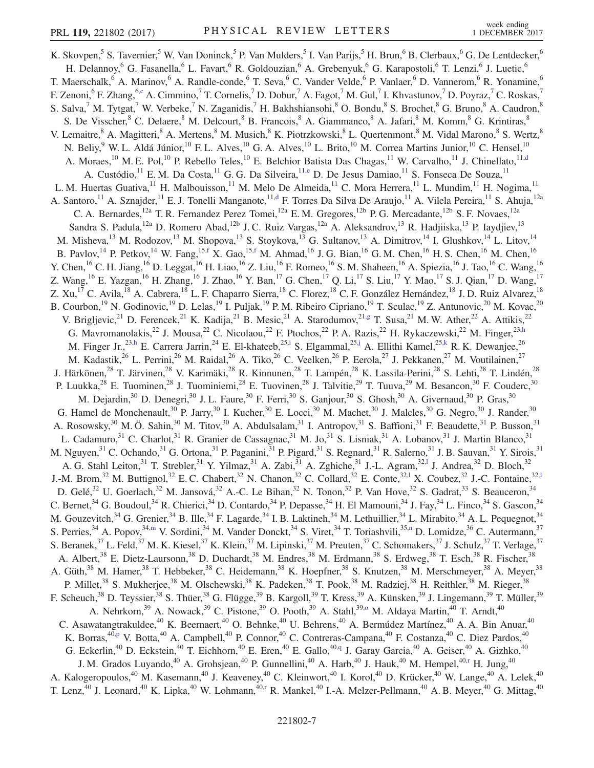<span id="page-6-11"></span><span id="page-6-10"></span><span id="page-6-9"></span><span id="page-6-8"></span><span id="page-6-7"></span><span id="page-6-6"></span><span id="page-6-5"></span><span id="page-6-4"></span><span id="page-6-3"></span><span id="page-6-2"></span><span id="page-6-1"></span><span id="page-6-0"></span>K. Skovpen,<sup>5</sup> S. Tavernier,<sup>5</sup> W. Van Doninck,<sup>5</sup> P. Van Mulders,<sup>5</sup> I. Van Parijs,<sup>5</sup> H. Brun,<sup>6</sup> B. Clerbaux,<sup>6</sup> G. De Lentdecker,<sup>6</sup> H. Delannoy, <sup>6</sup> G. Fasanella, <sup>6</sup> L. Favart, <sup>6</sup> R. Goldouzian, <sup>6</sup> A. Grebenyuk, <sup>6</sup> G. Karapostoli, <sup>6</sup> T. Lenzi, <sup>6</sup> J. Luetic, <sup>6</sup> T. Maerschalk,<sup>6</sup> A. Marinov,<sup>6</sup> A. Randle-conde,<sup>6</sup> T. Seva,<sup>6</sup> C. Vander Velde,<sup>6</sup> P. Vanlaer,<sup>6</sup> D. Vannerom,<sup>6</sup> R. Yonamine,<sup>6</sup> F. Zenoni,  $^{6}$  F. Zhang,  $^{6,c}$  $^{6,c}$  $^{6,c}$  A. Cimmino,  $^{7}$  T. Cornelis,  $^{7}$  D. Dobur,  $^{7}$  A. Fagot,  $^{7}$  M. Gul,  $^{7}$  I. Khvastunov,  $^{7}$  D. Poyraz,  $^{7}$  C. Roskas,  $^{7}$ S. Salva,<sup>7</sup> M. Tytgat,<sup>7</sup> W. Verbeke,<sup>7</sup> N. Zaganidis,<sup>7</sup> H. Bakhshiansohi,<sup>8</sup> O. Bondu,<sup>8</sup> S. Brochet,<sup>8</sup> G. Bruno,<sup>8</sup> A. Caudron,<sup>8</sup> S. De Visscher,<sup>8</sup> C. Delaere,<sup>8</sup> M. Delcourt,<sup>8</sup> B. Francois,<sup>8</sup> A. Giammanco,<sup>8</sup> A. Jafari,<sup>8</sup> M. Komm,<sup>8</sup> G. Krintiras,<sup>8</sup> V. Lemaitre,<sup>8</sup> A. Magitteri,<sup>8</sup> A. Mertens,<sup>8</sup> M. Musich,<sup>8</sup> K. Piotrzkowski,<sup>8</sup> L. Quertenmont,<sup>8</sup> M. Vidal Marono,<sup>8</sup> S. Wertz,<sup>8</sup> N. Beliy,<sup>9</sup> W. L. Aldá Júnior,<sup>10</sup> F. L. Alves,<sup>10</sup> G. A. Alves,<sup>10</sup> L. Brito,<sup>10</sup> M. Correa Martins Junior,<sup>10</sup> C. Hensel,<sup>10</sup> A. Moraes,<sup>10</sup> M. E. Pol,<sup>10</sup> P. Rebello Teles,<sup>10</sup> E. Belchior Batista Das Chagas,<sup>11</sup> W. Carvalho,<sup>11</sup> J. Chinellato,<sup>1[1,d](#page-15-2)</sup> A. Custódio,<sup>11</sup> E. M. Da Costa,<sup>11</sup> G. G. Da Silveira,<sup>11[,e](#page-15-3)</sup> D. De Jesus Damiao,<sup>11</sup> S. Fonseca De Souza,<sup>11</sup> L. M. Huertas Guativa,<sup>11</sup> H. Malbouisson,<sup>11</sup> M. Melo De Almeida,<sup>11</sup> C. Mora Herrera,<sup>11</sup> L. Mundim,<sup>11</sup> H. Nogima,<sup>11</sup> A. Santoro,<sup>11</sup> A. Sznajder,<sup>11</sup> E. J. Tonelli Manganote,<sup>1[1,d](#page-15-2)</sup> F. Torres Da Silva De Araujo,<sup>11</sup> A. Vilela Pereira,<sup>11</sup> S. Ahuja,<sup>12a</sup> C. A. Bernardes,<sup>12a</sup> T. R. Fernandez Perez Tomei,<sup>12a</sup> E. M. Gregores,<sup>12b</sup> P. G. Mercadante,<sup>12b</sup> S. F. Novaes,<sup>12a</sup> Sandra S. Padula,<sup>12a</sup> D. Romero Abad,<sup>12b</sup> J. C. Ruiz Vargas,<sup>12a</sup> A. Aleksandrov,<sup>13</sup> R. Hadjiiska,<sup>13</sup> P. Iaydjiev,<sup>13</sup> M. Misheva,<sup>13</sup> M. Rodozov,<sup>13</sup> M. Shopova,<sup>13</sup> S. Stoykova,<sup>13</sup> G. Sultanov,<sup>13</sup> A. Dimitrov,<sup>14</sup> I. Glushkov,<sup>14</sup> L. Litov,<sup>14</sup> B. Pavlov,<sup>14</sup> P. Petkov,<sup>14</sup> W. Fang,<sup>15[,f](#page-15-4)</sup> X. Gao,<sup>1[5,f](#page-15-4)</sup> M. Ahmad,<sup>16</sup> J. G. Bian,<sup>16</sup> G. M. Chen,<sup>16</sup> H. S. Chen,<sup>16</sup> M. Chen,<sup>16</sup> Y. Chen,<sup>16</sup> C. H. Jiang,<sup>16</sup> D. Leggat,<sup>16</sup> H. Liao,<sup>16</sup> Z. Liu,<sup>16</sup> F. Romeo,<sup>16</sup> S. M. Shaheen,<sup>16</sup> A. Spiezia,<sup>16</sup> J. Tao,<sup>16</sup> C. Wang,<sup>16</sup> Z. Wang, <sup>16</sup> E. Yazgan, <sup>16</sup> H. Zhang, <sup>16</sup> J. Zhao, <sup>16</sup> Y. Ban, <sup>17</sup> G. Chen, <sup>17</sup> Q. Li, <sup>17</sup> S. Liu, <sup>17</sup> Y. Mao, <sup>17</sup> S. J. Qian, <sup>17</sup> D. Wang, <sup>17</sup> Z. Xu,<sup>17</sup> C. Avila,<sup>18</sup> A. Cabrera,<sup>18</sup> L. F. Chaparro Sierra,<sup>18</sup> C. Florez,<sup>18</sup> C. F. González Hernández,<sup>18</sup> J. D. Ruiz Alvarez,<sup>18</sup> B. Courbon,<sup>19</sup> N. Godinovic,<sup>19</sup> D. Lelas,<sup>19</sup> I. Puljak,<sup>19</sup> P. M. Ribeiro Cipriano,<sup>19</sup> T. Sculac,<sup>19</sup> Z. Antunovic,<sup>20</sup> M. Kovac,<sup>20</sup> V. Brigljevic,<sup>21</sup> D. Ferencek,<sup>21</sup> K. Kadija,<sup>21</sup> B. Mesic,<sup>21</sup> A. Starodumov,<sup>21[,g](#page-15-5)</sup> T. Susa,<sup>21</sup> M. W. Ather,<sup>22</sup> A. Attikis,<sup>22</sup> G. Mavromanolakis,<sup>22</sup> J. Mousa,<sup>22</sup> C. Nicolaou,<sup>22</sup> F. Ptochos,<sup>22</sup> P. A. Razis,<sup>22</sup> H. Rykaczewski,<sup>22</sup> M. Finger,<sup>2[3,h](#page-15-6)</sup> M. Finger Jr.,<sup>2[3,h](#page-15-6)</sup> E. Carrera Jarrin,<sup>24</sup> E. El-khateeb,<sup>2[5,i](#page-15-7)</sup> S. Elgammal,<sup>2[5,j](#page-15-8)</sup> A. Ellithi Kamel,<sup>25[,k](#page-15-9)</sup> R. K. Dewanjee,<sup>26</sup> M. Kadastik,<sup>26</sup> L. Perrini,<sup>26</sup> M. Raidal,<sup>26</sup> A. Tiko,<sup>26</sup> C. Veelken,<sup>26</sup> P. Eerola,<sup>27</sup> J. Pekkanen,<sup>27</sup> M. Voutilainen,<sup>27</sup> J. Härkönen,<sup>28</sup> T. Järvinen,<sup>28</sup> V. Karimäki,<sup>28</sup> R. Kinnunen,<sup>28</sup> T. Lampén,<sup>28</sup> K. Lassila-Perini,<sup>28</sup> S. Lehti,<sup>28</sup> T. Lindén,<sup>28</sup> P. Luukka,<sup>28</sup> E. Tuominen,<sup>28</sup> J. Tuominiemi,<sup>28</sup> E. Tuovinen,<sup>28</sup> J. Talvitie,<sup>29</sup> T. Tuuva,<sup>29</sup> M. Besancon,<sup>30</sup> F. Couderc,<sup>30</sup> M. Dejardin,<sup>30</sup> D. Denegri,<sup>30</sup> J. L. Faure,<sup>30</sup> F. Ferri,<sup>30</sup> S. Ganjour,<sup>30</sup> S. Ghosh,<sup>30</sup> A. Givernaud,<sup>30</sup> P. Gras,<sup>30</sup> G. Hamel de Monchenault,<sup>30</sup> P. Jarry,<sup>30</sup> I. Kucher,<sup>30</sup> E. Locci,<sup>30</sup> M. Machet,<sup>30</sup> J. Malcles,<sup>30</sup> G. Negro,<sup>30</sup> J. Rander,<sup>30</sup> A. Rosowsky,<sup>30</sup> M. Ö. Sahin,<sup>30</sup> M. Titov,<sup>30</sup> A. Abdulsalam,<sup>31</sup> I. Antropov,<sup>31</sup> S. Baffioni,<sup>31</sup> F. Beaudette,<sup>31</sup> P. Busson,<sup>31</sup> L. Cadamuro,<sup>31</sup> C. Charlot,<sup>31</sup> R. Granier de Cassagnac,<sup>31</sup> M. Jo,<sup>31</sup> S. Lisniak,<sup>31</sup> A. Lobanov,<sup>31</sup> J. Martin Blanco,<sup>31</sup> M. Nguyen,<sup>31</sup> C. Ochando,<sup>31</sup> G. Ortona,<sup>31</sup> P. Paganini,<sup>31</sup> P. Pigard,<sup>31</sup> S. Regnard,<sup>31</sup> R. Salerno,<sup>31</sup> J. B. Sauvan,<sup>31</sup> Y. Sirois,<sup>31</sup> A. G. Stahl Leiton,<sup>31</sup> T. Strebler,<sup>31</sup> Y. Yilmaz,<sup>31</sup> A. Zabi,<sup>31</sup> A. Zghiche,<sup>31</sup> J.-L. Agram,<sup>32,1</sup> J. Andrea,<sup>32</sup> D. Bloch,<sup>32</sup> J.-M. Brom,<sup>32</sup> M. Buttignol,<sup>32</sup> E. C. Chabert,<sup>32</sup> N. Chanon,<sup>32</sup> C. Collard,<sup>32</sup> E. Conte,<sup>32,1</sup> X. Coubez,<sup>32</sup> J.-C. Fontaine,<sup>32,1</sup> D. Gelé,<sup>32</sup> U. Goerlach,<sup>32</sup> M. Jansová,<sup>32</sup> A.-C. Le Bihan,<sup>32</sup> N. Tonon,<sup>32</sup> P. Van Hove,<sup>32</sup> S. Gadrat,<sup>33</sup> S. Beauceron,<sup>34</sup> C. Bernet,  $34$  G. Boudoul,  $34$  R. Chierici,  $34$  D. Contardo,  $34$  P. Depasse,  $34$  H. El Mamouni,  $34$  J. Fay,  $34$  L. Finco,  $34$  S. Gascon,  $34$ M. Gouzevitch,<sup>34</sup> G. Grenier,<sup>34</sup> B. Ille,<sup>34</sup> F. Lagarde,<sup>34</sup> I. B. Laktineh,<sup>34</sup> M. Lethuillier,<sup>34</sup> L. Mirabito,<sup>34</sup> A. L. Pequegnot,<sup>34</sup> S. Perries,<sup>34</sup> A. Popov,<sup>34[,m](#page-15-11)</sup> V. Sordini,<sup>34</sup> M. Vander Donckt,<sup>34</sup> S. Viret,<sup>34</sup> T. Toriashvili,<sup>35[,n](#page-15-12)</sup> D. Lomidze,<sup>36</sup> C. Autermann,<sup>37</sup> S. Beranek,<sup>37</sup> L. Feld,<sup>37</sup> M. K. Kiesel,<sup>37</sup> K. Klein,<sup>37</sup> M. Lipinski,<sup>37</sup> M. Preuten,<sup>37</sup> C. Schomakers,<sup>37</sup> J. Schulz,<sup>37</sup> T. Verlage,<sup>37</sup> A. Albert,<sup>38</sup> E. Dietz-Laursonn,<sup>38</sup> D. Duchardt,<sup>38</sup> M. Endres,<sup>38</sup> M. Erdmann,<sup>38</sup> S. Erdweg,<sup>38</sup> T. Esch,<sup>38</sup> R. Fischer,<sup>38</sup> A. Güth,<sup>38</sup> M. Hamer,<sup>38</sup> T. Hebbeker,<sup>38</sup> C. Heidemann,<sup>38</sup> K. Hoepfner,<sup>38</sup> S. Knutzen,<sup>38</sup> M. Merschmeyer,<sup>38</sup> A. Meyer,<sup>38</sup> P. Millet,<sup>38</sup> S. Mukherjee,<sup>38</sup> M. Olschewski,<sup>38</sup> K. Padeken,<sup>38</sup> T. Pook,<sup>38</sup> M. Radziej,<sup>38</sup> H. Reithler,<sup>38</sup> M. Rieger,<sup>38</sup> F. Scheuch,<sup>38</sup> D. Teyssier,<sup>38</sup> S. Thüer,<sup>38</sup> G. Flügge,<sup>39</sup> B. Kargoll,<sup>39</sup> T. Kress,<sup>39</sup> A. Künsken,<sup>39</sup> J. Lingemann,<sup>39</sup> T. Müller,<sup>39</sup> A. Nehrkorn,<sup>39</sup> A. Nowack,<sup>39</sup> C. Pistone,<sup>39</sup> O. Pooth,<sup>39</sup> A. Stahl,<sup>39,0</sup> M. Aldaya Martin,<sup>40</sup> T. Arndt,<sup>40</sup> C. Asawatangtrakuldee,<sup>40</sup> K. Beernaert,<sup>40</sup> O. Behnke,<sup>40</sup> U. Behrens,<sup>40</sup> A. Bermúdez Martínez,<sup>40</sup> A. A. Bin Anuar,<sup>40</sup> K. Borras,<sup>4[0,p](#page-15-14)</sup> V. Botta,<sup>40</sup> A. Campbell,<sup>40</sup> P. Connor,<sup>40</sup> C. Contreras-Campana,<sup>40</sup> F. Costanza,<sup>40</sup> C. Diez Pardos,<sup>40</sup> G. Eckerlin,<sup>40</sup> D. Eckstein,<sup>40</sup> T. Eichhorn,<sup>40</sup> E. Eren,<sup>40</sup> E. Gallo,<sup>4[0,q](#page-15-15)</sup> J. Garay Garcia,<sup>40</sup> A. Geiser,<sup>40</sup> A. Gizhko,<sup>40</sup> J. M. Grados Luyando,<sup>40</sup> A. Grohsjean,<sup>40</sup> P. Gunnellini,<sup>40</sup> A. Harb,<sup>40</sup> J. Hauk,<sup>40</sup> M. Hempel,<sup>4[0,r](#page-15-16)</sup> H. Jung,<sup>40</sup> A. Kalogeropoulos,<sup>40</sup> M. Kasemann,<sup>40</sup> J. Keaveney,<sup>40</sup> C. Kleinwort,<sup>40</sup> I. Korol,<sup>40</sup> D. Krücker,<sup>40</sup> W. Lange,<sup>40</sup> A. Lelek,<sup>40</sup> T. Lenz,<sup>40</sup> J. Leonard,<sup>40</sup> K. Lipka,<sup>40</sup> W. Lohmann,<sup>40[,r](#page-15-16)</sup> R. Mankel,<sup>40</sup> I.-A. Melzer-Pellmann,<sup>40</sup> A. B. Meyer,<sup>40</sup> G. Mittag,<sup>40</sup>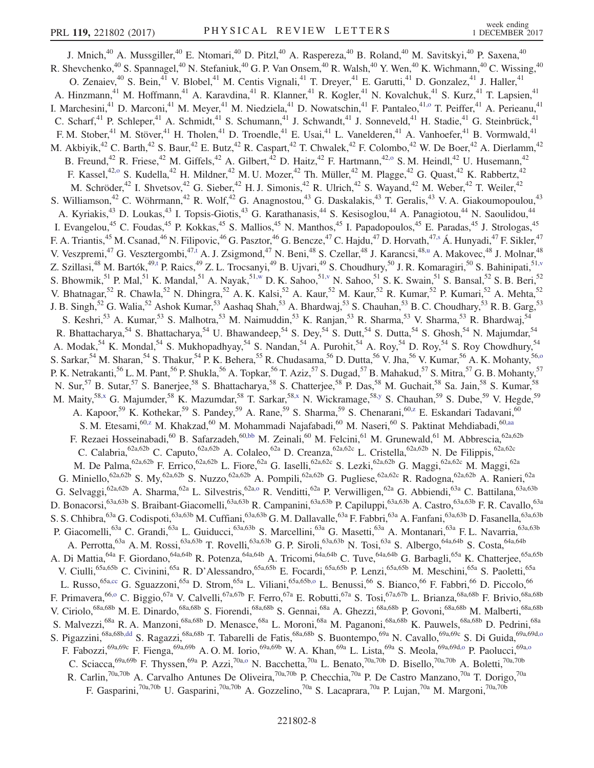<span id="page-7-8"></span><span id="page-7-7"></span><span id="page-7-6"></span><span id="page-7-5"></span><span id="page-7-4"></span><span id="page-7-3"></span><span id="page-7-2"></span><span id="page-7-1"></span><span id="page-7-0"></span>J. Mnich,<sup>40</sup> A. Mussgiller,<sup>40</sup> E. Ntomari,<sup>40</sup> D. Pitzl,<sup>40</sup> A. Raspereza,<sup>40</sup> B. Roland,<sup>40</sup> M. Savitskyi,<sup>40</sup> P. Saxena,<sup>40</sup> R. Shevchenko,<sup>40</sup> S. Spannagel,<sup>40</sup> N. Stefaniuk,<sup>40</sup> G. P. Van Onsem,<sup>40</sup> R. Walsh,<sup>40</sup> Y. Wen,<sup>40</sup> K. Wichmann,<sup>40</sup> C. Wissing,<sup>40</sup> O. Zenaiev,<sup>40</sup> S. Bein,<sup>41</sup> V. Blobel,<sup>41</sup> M. Centis Vignali,<sup>41</sup> T. Dreyer,<sup>41</sup> E. Garutti,<sup>41</sup> D. Gonzalez,<sup>41</sup> J. Haller,<sup>41</sup> A. Hinzmann,<sup>41</sup> M. Hoffmann,<sup>41</sup> A. Karavdina,<sup>41</sup> R. Klanner,<sup>41</sup> R. Kogler,<sup>41</sup> N. Kovalchuk,<sup>41</sup> S. Kurz,<sup>41</sup> T. Lapsien,<sup>41</sup> I. Marchesini,<sup>41</sup> D. Marconi,<sup>41</sup> M. Meyer,<sup>41</sup> M. Niedziela,<sup>41</sup> D. Nowatschin,<sup>41</sup> F. Pantaleo,<sup>41,0</sup> T. Peiffer,<sup>41</sup> A. Perieanu,<sup>41</sup> C. Scharf,<sup>41</sup> P. Schleper,<sup>41</sup> A. Schmidt,<sup>41</sup> S. Schumann,<sup>41</sup> J. Schwandt,<sup>41</sup> J. Sonneveld,<sup>41</sup> H. Stadie,<sup>41</sup> G. Steinbrück,<sup>41</sup> F. M. Stober,<sup>41</sup> M. Stöver,<sup>41</sup> H. Tholen,<sup>41</sup> D. Troendle,<sup>41</sup> E. Usai,<sup>41</sup> L. Vanelderen,<sup>41</sup> A. Vanhoefer,<sup>41</sup> B. Vormwald,<sup>41</sup> M. Akbiyik,<sup>42</sup> C. Barth,<sup>42</sup> S. Baur,<sup>42</sup> E. Butz,<sup>42</sup> R. Caspart,<sup>42</sup> T. Chwalek,<sup>42</sup> F. Colombo,<sup>42</sup> W. De Boer,<sup>42</sup> A. Dierlamm,<sup>42</sup> B. Freund,<sup>42</sup> R. Friese,<sup>42</sup> M. Giffels,<sup>42</sup> A. Gilbert,<sup>42</sup> D. Haitz,<sup>42</sup> F. Hartmann,<sup>42,0</sup> S. M. Heindl,<sup>42</sup> U. Husemann,<sup>42</sup> F. Kassel,<sup>4[2,o](#page-15-13)</sup> S. Kudella,<sup>42</sup> H. Mildner,<sup>42</sup> M. U. Mozer,<sup>42</sup> Th. Müller,<sup>42</sup> M. Plagge,<sup>42</sup> G. Quast,<sup>42</sup> K. Rabbertz,<sup>42</sup> M. Schröder,<sup>42</sup> I. Shvetsov,<sup>42</sup> G. Sieber,<sup>42</sup> H. J. Simonis,<sup>42</sup> R. Ulrich,<sup>42</sup> S. Wayand,<sup>42</sup> M. Weber,<sup>42</sup> T. Weiler,<sup>42</sup> S. Williamson,<sup>42</sup> C. Wöhrmann,<sup>42</sup> R. Wolf,<sup>42</sup> G. Anagnostou,<sup>43</sup> G. Daskalakis,<sup>43</sup> T. Geralis,<sup>43</sup> V. A. Giakoumopoulou,<sup>43</sup> A. Kyriakis,<sup>43</sup> D. Loukas,<sup>43</sup> I. Topsis-Giotis,<sup>43</sup> G. Karathanasis,<sup>44</sup> S. Kesisoglou,<sup>44</sup> A. Panagiotou,<sup>44</sup> N. Saoulidou,<sup>44</sup> A. I. Evangelou,<sup>45</sup> C. Foudas,<sup>45</sup> P. Kokkas,<sup>45</sup> S. Mallios,<sup>45</sup> N. Manthos,<sup>45</sup> I. Papadopoulos,<sup>45</sup> E. Paradas,<sup>45</sup> J. Strologas,<sup>45</sup> F. A. Triantis,<sup>45</sup> M. Csanad,<sup>46</sup> N. Filipovic,<sup>46</sup> G. Pasztor,<sup>46</sup> G. Bencze,<sup>47</sup> C. Hajdu,<sup>47</sup> D. Horvath,<sup>47[,s](#page-15-17)</sup> Á. Hunyadi,<sup>47</sup> F. Sikler,<sup>47</sup> V. Veszpremi,<sup>47</sup> G. Vesztergombi,<sup>47[,t](#page-15-18)</sup> A. J. Zsigmond,<sup>47</sup> N. Beni,<sup>48</sup> S. Czellar,<sup>48</sup> J. Karancsi,<sup>4[8,u](#page-15-19)</sup> A. Makovec,<sup>48</sup> J. Molnar,<sup>48</sup> Z. Szillasi,<sup>48</sup> M. Bartók,<sup>4[9,t](#page-15-18)</sup> P. Raics,<sup>49</sup> Z. L. Trocsanyi,<sup>49</sup> B. Ujvari,<sup>49</sup> S. Choudhury,<sup>50</sup> J. R. Komaragiri,<sup>50</sup> S. Bahinipati,<sup>51[,v](#page-15-20)</sup> S. Bhowmik,<sup>51</sup> P. Mal,<sup>51</sup> K. Mandal,<sup>51</sup> A. Nayak,<sup>5[1,w](#page-15-21)</sup> D. K. Sahoo,<sup>51[,v](#page-15-20)</sup> N. Sahoo,<sup>51</sup> S. K. Swain,<sup>51</sup> S. Bansal,<sup>52</sup> S. B. Beri,<sup>52</sup> V. Bhatnagar,<sup>52</sup> R. Chawla,<sup>52</sup> N. Dhingra,<sup>52</sup> A. K. Kalsi,<sup>52</sup> A. Kaur,<sup>52</sup> M. Kaur,<sup>52</sup> R. Kumar,<sup>52</sup> P. Kumari,<sup>52</sup> A. Mehta,<sup>52</sup> J. B. Singh,<sup>52</sup> G. Walia,<sup>52</sup> Ashok Kumar,<sup>53</sup> Aashaq Shah,<sup>53</sup> A. Bhardwaj,<sup>53</sup> S. Chauhan,<sup>53</sup> B. C. Choudhary,<sup>53</sup> R. B. Garg,<sup>53</sup> S. Keshri,<sup>53</sup> A. Kumar,<sup>53</sup> S. Malhotra,<sup>53</sup> M. Naimuddin,<sup>53</sup> K. Ranjan,<sup>53</sup> R. Sharma,<sup>53</sup> V. Sharma,<sup>53</sup> R. Bhardwaj,<sup>54</sup> R. Bhattacharya,<sup>54</sup> S. Bhattacharya,<sup>54</sup> U. Bhawandeep,<sup>54</sup> S. Dey,<sup>54</sup> S. Dutt,<sup>54</sup> S. Dutta,<sup>54</sup> S. Ghosh,<sup>54</sup> N. Majumdar,<sup>54</sup> A. Modak,<sup>54</sup> K. Mondal,<sup>54</sup> S. Mukhopadhyay,<sup>54</sup> S. Nandan,<sup>54</sup> A. Purohit,<sup>54</sup> A. Roy,<sup>54</sup> D. Roy,<sup>54</sup> S. Roy Chowdhury,<sup>54</sup> S. Sarkar,<sup>54</sup> M. Sharan,<sup>54</sup> S. Thakur,<sup>54</sup> P. K. Behera,<sup>55</sup> R. Chudasama,<sup>56</sup> D. Dutta,<sup>56</sup> V. Jha,<sup>56</sup> V. Kumar,<sup>56</sup> A. K. Mohanty,<sup>56[,o](#page-15-13)</sup> P. K. Netrakanti,<sup>56</sup> L. M. Pant,<sup>56</sup> P. Shukla,<sup>56</sup> A. Topkar,<sup>56</sup> T. Aziz,<sup>57</sup> S. Dugad,<sup>57</sup> B. Mahakud,<sup>57</sup> S. Mitra,<sup>57</sup> G. B. Mohanty,<sup>57</sup> N. Sur,<sup>57</sup> B. Sutar,<sup>57</sup> S. Banerjee,<sup>58</sup> S. Bhattacharya,<sup>58</sup> S. Chatterjee,<sup>58</sup> P. Das,<sup>58</sup> M. Guchait,<sup>58</sup> Sa. Jain,<sup>58</sup> S. Kumar,<sup>58</sup> M. Maity,<sup>5[8,x](#page-15-22)</sup> G. Majumder,<sup>58</sup> K. Mazumdar,<sup>58</sup> T. Sarkar,<sup>58,x</sup> N. Wickramage,<sup>5[8,y](#page-15-23)</sup> S. Chauhan,<sup>59</sup> S. Dube,<sup>59</sup> V. Hegde,<sup>59</sup> A. Kapoor,<sup>59</sup> K. Kothekar,<sup>59</sup> S. Pandey,<sup>59</sup> A. Rane,<sup>59</sup> S. Sharma,<sup>59</sup> S. Chenarani,<sup>60[,z](#page-15-24)</sup> E. Eskandari Tadavani,<sup>60</sup> S. M. Etesami,<sup>6[0,z](#page-15-24)</sup> M. Khakzad,<sup>60</sup> M. Mohammadi Najafabadi,<sup>60</sup> M. Naseri,<sup>60</sup> S. Paktinat Mehdiabadi,<sup>60[,aa](#page-15-25)</sup> F. Rezaei Hosseinabadi, <sup>60</sup> B. Safarzadeh, <sup>60[,bb](#page-15-26)</sup> M. Zeinali, <sup>60</sup> M. Felcini, <sup>61</sup> M. Grunewald, <sup>61</sup> M. Abbrescia, <sup>62a, 62b</sup> C. Calabria, <sup>62a,62b</sup> C. Caputo, <sup>62a,62b</sup> A. Colaleo, <sup>62a</sup> D. Creanza, <sup>62a,62c</sup> L. Cristella, <sup>62a,62b</sup> N. De Filippis, <sup>62a,62c</sup> M. De Palma,<sup>62a,62b</sup> F. Errico,<sup>62a,62b</sup> L. Fiore,<sup>62a</sup> G. Iaselli,<sup>62a,62c</sup> S. Lezki,<sup>62a,62b</sup> G. Maggi,<sup>62a,62c</sup> M. Maggi,<sup>62a</sup> G. Miniello,  $^{62a,62b}$  S. My,  $^{62a,62b}$  S. Nuzzo,  $^{62a,62b}$  A. Pompili,  $^{62a,62b}$  G. Pugliese,  $^{62a,62c}$  R. Radogna,  $^{62a,62b}$  A. Ranieri,  $^{62a}$ G. Selvaggi,<sup>62a,62b</sup> A. Sharma,<sup>62a</sup> L. Silvestris,<sup>62[a,o](#page-15-13)</sup> R. Venditti,<sup>62a</sup> P. Verwilligen,<sup>62a</sup> G. Abbiendi,<sup>63a</sup> C. Battilana,<sup>63a,63b</sup> D. Bonacorsi,<sup>63a,63b</sup> S. Braibant-Giacomelli,<sup>63a,63b</sup> R. Campanini,<sup>63a,63b</sup> P. Capiluppi,<sup>63a,63b</sup> A. Castro,<sup>63a,63b</sup> F. R. Cavallo,<sup>63a</sup> S. S. Chhibra,<sup>63a</sup> G. Codispoti,<sup>63a,63b</sup> M. Cuffiani,<sup>63a,63b</sup> G. M. Dallavalle,<sup>63a</sup> F. Fabbri,<sup>63a</sup> A. Fanfani,<sup>63a,63b</sup> D. Fasanella,<sup>63a,63b</sup> P. Giacomelli,<sup>63a</sup> C. Grandi,<sup>63a</sup> L. Guiducci,<sup>63a,63b</sup> S. Marcellini,<sup>63a</sup> G. Masetti,<sup>63a</sup> A. Montanari,<sup>63a</sup> F. L. Navarria,<sup>63a,63b</sup> A. Perrotta,<sup>63a</sup> A. M. Rossi,<sup>63a,63b</sup> T. Rovelli,<sup>63a,63b</sup> G. P. Siroli,<sup>63a,63b</sup> N. Tosi,<sup>63a</sup> S. Albergo,<sup>64a,64b</sup> S. Costa,<sup>64a,64b</sup> A. Di Mattia,<sup>64a</sup> F. Giordano,<sup>64a,64b</sup> R. Potenza,<sup>64a,64b</sup> A. Tricomi,<sup>64a,64b</sup> C. Tuve,<sup>64a,64b</sup> G. Barbagli,<sup>65a</sup> K. Chatterjee,<sup>65a,65b</sup> V. Ciulli, <sup>65a,65b</sup> C. Civinini, <sup>65a</sup> R. D'Alessandro, <sup>65a,65b</sup> E. Focardi, <sup>65a,65b</sup> P. Lenzi, <sup>65a,65b</sup> M. Meschini, <sup>65a</sup> S. Paoletti, <sup>65a</sup> L. Russo,<sup>65[a,cc](#page-15-27)</sup> G. Sguazzoni,<sup>65a</sup> D. Strom,<sup>65a</sup> L. Viliani,<sup>65a,65[b,o](#page-15-13)</sup> L. Benussi,<sup>66</sup> S. Bianco,<sup>66</sup> F. Fabbri,<sup>66</sup> D. Piccolo,<sup>66</sup> F. Primavera, <sup>66,0</sup> C. Biggio, <sup>67a</sup> V. Calvelli, <sup>67a,67b</sup> F. Ferro, <sup>67a</sup> E. Robutti, <sup>67a</sup> S. Tosi, <sup>67a,67b</sup> L. Brianza, <sup>68a,68b</sup> F. Brivio, <sup>68a,68b</sup> V. Ciriolo,<sup>68a,68b</sup> M. E. Dinardo,<sup>68a,68b</sup> S. Fiorendi,<sup>68a,68b</sup> S. Gennai,<sup>68a</sup> A. Ghezzi,<sup>68a,68b</sup> P. Govoni,<sup>68a,68b</sup> M. Malberti,<sup>68a,68b</sup> S. Malvezzi,<sup>68a</sup> R. A. Manzoni,<sup>68a,68b</sup> D. Menasce,<sup>68a</sup> L. Moroni,<sup>68a</sup> M. Paganoni,<sup>68a,68b</sup> K. Pauwels,<sup>68a,68b</sup> D. Pedrini,<sup>68a</sup> S. Pigazzini,<sup>68a,68b[,dd](#page-16-0)</sup> S. Ragazzi,<sup>68a,68b</sup> T. Tabarelli de Fatis,<sup>68a,68b</sup> S. Buontempo,<sup>69a</sup> N. Cavallo,<sup>69a,69c</sup> S. Di Guida,<sup>69a,69d,0</sup> F. Fabozzi,<sup>69a,69c</sup> F. Fienga,<sup>69a,69b</sup> A. O. M. Iorio,<sup>69a,69b</sup> W. A. Khan,<sup>69a</sup> L. Lista,<sup>69a</sup> S. Meola,<sup>69a,69[d,o](#page-15-13)</sup> P. Paolucci,<sup>69a,0</sup> C. Sciacca,<sup>69a,69b</sup> F. Thyssen,<sup>69a</sup> P. Azzi,<sup>70a[,o](#page-15-13)</sup> N. Bacchetta,<sup>70a</sup> L. Benato,<sup>70a,70b</sup> D. Bisello,<sup>70a,70b</sup> A. Boletti,<sup>70a,70b</sup> R. Carlin,<sup>70a,70b</sup> A. Carvalho Antunes De Oliveira,<sup>70a,70b</sup> P. Checchia,<sup>70a</sup> P. De Castro Manzano,<sup>70a</sup> T. Dorigo,<sup>70a</sup> F. Gasparini,<sup>70a,70b</sup> U. Gasparini,<sup>70a,70b</sup> A. Gozzelino,<sup>70a</sup> S. Lacaprara,<sup>70a</sup> P. Lujan,<sup>70a</sup> M. Margoni,<sup>70a,70b</sup>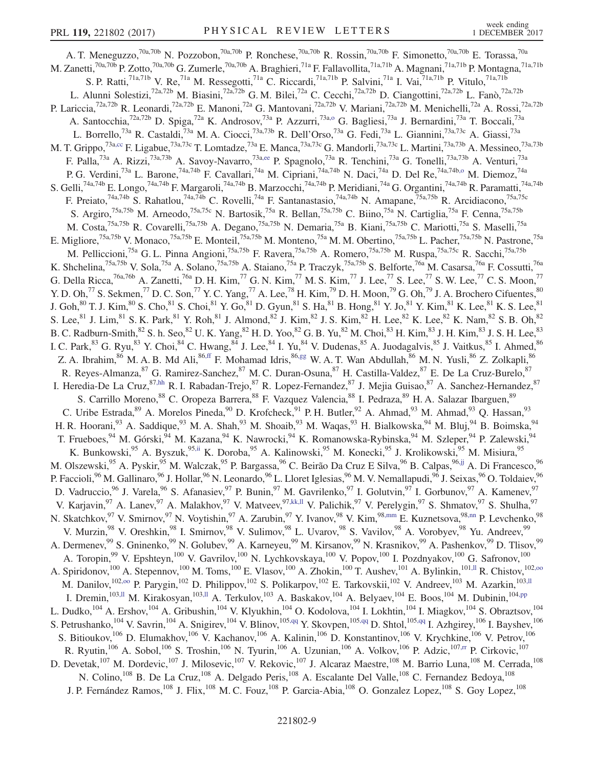<span id="page-8-10"></span><span id="page-8-9"></span><span id="page-8-8"></span><span id="page-8-7"></span><span id="page-8-6"></span><span id="page-8-5"></span><span id="page-8-4"></span><span id="page-8-3"></span><span id="page-8-2"></span><span id="page-8-1"></span><span id="page-8-0"></span>A. T. Meneguzzo,<sup>70a,70b</sup> N. Pozzobon,<sup>70a,70b</sup> P. Ronchese,<sup>70a,70b</sup> R. Rossin,<sup>70a,70b</sup> F. Simonetto,<sup>70a,70b</sup> E. Torassa,<sup>70a</sup> M. Zanetti,<sup>70a,70b</sup> P. Zotto,<sup>70a,70b</sup> G. Zumerle,<sup>70a,70b</sup> A. Braghieri,<sup>71a</sup> F. Fallavollita,<sup>71a,71b</sup> A. Magnani,<sup>71a,71b</sup> P. Montagna,<sup>71a,71b</sup> S. P. Ratti,<sup>71a,71b</sup> V. Re,<sup>71a</sup> M. Ressegotti,<sup>71a</sup> C. Riccardi,<sup>71a,71b</sup> P. Salvini,<sup>71a</sup> I. Vai,<sup>71a,71b</sup> P. Vitulo,<sup>71a,71b</sup> L. Alunni Solestizi,<sup>72a,72b</sup> M. Biasini,<sup>72a,72b</sup> G. M. Bilei,<sup>72a</sup> C. Cecchi,<sup>72a,72b</sup> D. Ciangottini,<sup>72a,72b</sup> L. Fanò,<sup>72a,72b</sup> P. Lariccia,<sup>72a,72b</sup> R. Leonardi,<sup>72a,72b</sup> E. Manoni,<sup>72a</sup> G. Mantovani,<sup>72a,72b</sup> V. Mariani,<sup>72a,72b</sup> M. Menichelli,<sup>72a</sup> A. Rossi,<sup>72a,72b</sup> A. Santocchia,<sup>72a,72b</sup> D. Spiga,<sup>72a</sup> K. Androsov,<sup>73a</sup> P. Azzurri,<sup>73a[,o](#page-15-13)</sup> G. Bagliesi,<sup>73a</sup> J. Bernardini,<sup>73a</sup> T. Boccali,<sup>73a</sup> L. Borrello,<sup>73a</sup> R. Castaldi,<sup>73a</sup> M. A. Ciocci,<sup>73a,73b</sup> R. Dell'Orso,<sup>73a</sup> G. Fedi,<sup>73a</sup> L. Giannini,<sup>73a,73c</sup> A. Giassi,<sup>73a</sup> M. T. Grippo,<sup>73a[,cc](#page-15-27)</sup> F. Ligabue,<sup>73a,73c</sup> T. Lomtadze,<sup>73a</sup> E. Manca,<sup>73a,73c</sup> G. Mandorli,<sup>73a,73c</sup> L. Martini,<sup>73a,73b</sup> A. Messineo,<sup>73a,73b</sup> F. Palla,<sup>73a</sup> A. Rizzi,<sup>73a,73b</sup> A. Savoy-Navarro,<sup>73[a,ee](#page-16-1)</sup> P. Spagnolo,<sup>73a</sup> R. Tenchini,<sup>73a</sup> G. Tonelli,<sup>73a,73b</sup> A. Venturi,<sup>73a</sup> P. G. Verdini,<sup>73a</sup> L. Barone,<sup>74a,74b</sup> F. Cavallari,<sup>74a</sup> M. Cipriani,<sup>74a,74b</sup> N. Daci,<sup>74a</sup> D. Del Re,<sup>74a,74[b,o](#page-15-13)</sup> M. Diemoz,<sup>74a</sup> S. Gelli,<sup>74a,74b</sup> E. Longo,<sup>74a,74b</sup> F. Margaroli,<sup>74a,74b</sup> B. Marzocchi,<sup>74a,74b</sup> P. Meridiani,<sup>74a</sup> G. Organtini,<sup>74a,74b</sup> R. Paramatti,<sup>74a,74b</sup> F. Preiato,<sup>74a,74b</sup> S. Rahatlou,<sup>74a,74b</sup> C. Rovelli,<sup>74a</sup> F. Santanastasio,<sup>74a,74b</sup> N. Amapane,<sup>75a,75b</sup> R. Arcidiacono,<sup>75a,75c</sup> S. Argiro,<sup>75a,75b</sup> M. Arneodo,<sup>75a,75c</sup> N. Bartosik,<sup>75a</sup> R. Bellan,<sup>75a,75b</sup> C. Biino,<sup>75a</sup> N. Cartiglia,<sup>75a</sup> F. Cenna,<sup>75a,75b</sup> M. Costa,<sup>75a,75b</sup> R. Covarelli,<sup>75a,75b</sup> A. Degano,<sup>75a,75b</sup> N. Demaria,<sup>75a</sup> B. Kiani,<sup>75a,75b</sup> C. Mariotti,<sup>75a</sup> S. Maselli,<sup>75a</sup> E. Migliore,<sup>75a,75b</sup> V. Monaco,<sup>75a,75b</sup> E. Monteil,<sup>75a,75b</sup> M. Monteno,<sup>75a</sup> M. M. Obertino,<sup>75a,75b</sup> L. Pacher,<sup>75a,75b</sup> N. Pastrone,<sup>75a</sup> M. Pelliccioni,<sup>75a</sup> G. L. Pinna Angioni,<sup>75a,75b</sup> F. Ravera,<sup>75a,75b</sup> A. Romero,<sup>75a,75b</sup> M. Ruspa,<sup>75a,75c</sup> R. Sacchi,<sup>75a,75b</sup> K. Shchelina,<sup>75a,75b</sup> V. Sola,<sup>75a</sup> A. Solano,<sup>75a,75b</sup> A. Staiano,<sup>75a</sup> P. Traczyk,<sup>75a,75b</sup> S. Belforte,<sup>76a</sup> M. Casarsa,<sup>76a</sup> F. Cossutti,<sup>76a</sup> G. Della Ricca,<sup>76a,76b</sup> A. Zanetti,<sup>76a</sup> D. H. Kim,<sup>77</sup> G. N. Kim,<sup>77</sup> M. S. Kim,<sup>77</sup> J. Lee,<sup>77</sup> S. Lee,<sup>77</sup> S. W. Lee,<sup>77</sup> C. S. Moon,<sup>77</sup> Y. D. Oh,<sup>77</sup> S. Sekmen,<sup>77</sup> D. C. Son,<sup>77</sup> Y. C. Yang,<sup>77</sup> A. Lee,<sup>78</sup> H. Kim,<sup>79</sup> D. H. Moon,<sup>79</sup> G. Oh,<sup>79</sup> J. A. Brochero Cifuentes,<sup>80</sup> J. Goh, $^{80}$  T. J. Kim, $^{80}$  S. Cho, $^{81}$  S. Choi, $^{81}$  Y. Go, $^{81}$  D. Gyun, $^{81}$  S. Ha, $^{81}$  B. Hong, $^{81}$  Y. Jo, $^{81}$  Y. Kim, $^{81}$  K. Lee, $^{81}$  K. S. Lee, $^{81}$ S. Lee, <sup>81</sup> J. Lim, <sup>81</sup> S. K. Park, <sup>81</sup> Y. Roh, <sup>81</sup> J. Almond, <sup>82</sup> J. Kim, <sup>82</sup> J. S. Kim, <sup>82</sup> H. Lee, <sup>82</sup> K. Lee, <sup>82</sup> K. Nam, <sup>82</sup> S. B. Oh, <sup>82</sup> B. C. Radburn-Smith,  $82$  S. h. Seo,  $82$  U. K. Yang,  $82$  H. D. Yoo,  $82$  G. B. Yu,  $82$  M. Choi,  $83$  H. Kim,  $83$  J. H. Kim,  $83$  J. S. H. Lee,  $83$ I. C. Park, <sup>83</sup> G. Ryu, <sup>83</sup> Y. Choi, <sup>84</sup> C. Hwang, <sup>84</sup> J. Lee, <sup>84</sup> I. Yu, <sup>84</sup> V. Dudenas, <sup>85</sup> A. Juodagalvis, <sup>85</sup> J. Vaitkus, <sup>85</sup> I. Ahmed, <sup>86</sup> Z. A. Ibrahim, $^{86}$  M. A. B. Md Ali, $^{86,ff}$  $^{86,ff}$  $^{86,ff}$  F. Mohamad Idris, $^{86,gg}$  $^{86,gg}$  $^{86,gg}$  W. A. T. Wan Abdullah, $^{86}$  M. N. Yusli, $^{86}$  Z. Zolkapli, $^{86}$ Z. A. Ibrahim,  $86$  M. A. B. Md Ali,  $86$ ,  $\text{ff}$  F. Mohamad Idris,  $86$ ,  $\text{gg}$  W. A. T. Wan Abdullah,  $86$  M. N. Yusli,  $86$  Z. Zolkapli,  $86$  R. Reyes-Almanza,  $87$  G. Ramirez-Sanchez,  $87$  M. C. Duran-Osuna,  $87$  H. I. Heredia-De La Cruz,<sup>8[7,hh](#page-16-4)</sup> R. I. Rabadan-Trejo,<sup>87</sup> R. Lopez-Fernandez,<sup>87</sup> J. Mejia Guisao,<sup>87</sup> A. Sanchez-Hernandez,<sup>87</sup> S. Carrillo Moreno, <sup>88</sup> C. Oropeza Barrera, <sup>88</sup> F. Vazquez Valencia, <sup>88</sup> I. Pedraza, <sup>89</sup> H. A. Salazar Ibarguen, <sup>89</sup> C. Uribe Estrada,  $89$  A. Morelos Pineda,  $90$  D. Krofcheck,  $91$  P. H. Butler,  $92$  A. Ahmad,  $93$  M. Ahmad,  $93$  Q. Hassan,  $93$ H. R. Hoorani,<sup>93</sup> A. Saddique,<sup>93</sup> M. A. Shah,<sup>93</sup> M. Shoaib,<sup>93</sup> M. Waqas,<sup>93</sup> H. Bialkowska,<sup>94</sup> M. Bluj,<sup>94</sup> B. Boimska,<sup>94</sup> T. Frueboes,<sup>94</sup> M. Górski,<sup>94</sup> M. Kazana,<sup>94</sup> K. Nawrocki,<sup>94</sup> K. Romanowska-Rybinska,<sup>94</sup> M. Szleper,<sup>94</sup> P. Zalewski,<sup>94</sup> K. Bunkowski,<sup>95</sup> A. Byszuk,<sup>9[5,ii](#page-16-5)</sup> K. Doroba,<sup>95</sup> A. Kalinowski,<sup>95</sup> M. Konecki,<sup>95</sup> J. Krolikowski,<sup>95</sup> M. Misiura,<sup>95</sup> M. Olszewski,<sup>95</sup> A. Pyskir,<sup>95</sup> M. Walczak,<sup>95</sup> P. Bargassa,<sup>96</sup> C. Beirão Da Cruz E Silva,<sup>96</sup> B. Calpas,<sup>9[6,jj](#page-16-6)</sup> A. Di Francesco,<sup>96</sup> P. Faccioli,  $^{96}$  M. Gallinaro,  $^{96}$  J. Hollar,  $^{96}$  N. Leonardo,  $^{96}$  L. Lloret Iglesias,  $^{96}$  M. V. Nemallapudi,  $^{96}$  J. Seixas,  $^{96}$  O. Toldaiev,  $^{96}$ <br>P. Faccioli,  $^{96}$  M. Gallinaro,  $^{96}$  J. Hollar, D. Vadruccio, <sup>96</sup> J. Varela, <sup>96</sup> S. Afanasiev, <sup>97</sup> P. Bunin, <sup>97</sup> M. Gavrilenko, <sup>97</sup> I. Golutvin, <sup>97</sup> I. Gorbunov, <sup>97</sup> A. Kamenev, <sup>97</sup> V. Karjavin, <sup>97</sup> A. Lanev, <sup>97</sup> A. Malakhov, <sup>97</sup> V. Matveev, <sup>9[7,kk,ll](#page-16-7)</sup> V. Palichik, <sup>97</sup> V. Perelygin, <sup>97</sup> S. Shmatov, <sup>97</sup> S. Shulha, <sup>97</sup> N. Skatchkov, <sup>97</sup> V. Smirnov, <sup>97</sup> N. Voytishin, <sup>97</sup> A. Zarubin, <sup>97</sup> Y. Ivanov, <sup>98</sup> V. Kim, <sup>9[8,mm](#page-16-8)</sup> E. Kuznetsova, <sup>9[8,nn](#page-16-9)</sup> P. Levchenko, <sup>98</sup> V. Murzin,<sup>98</sup> V. Oreshkin,<sup>98</sup> I. Smirnov,<sup>98</sup> V. Sulimov,<sup>98</sup> L. Uvarov,<sup>98</sup> S. Vavilov,<sup>98</sup> A. Vorobyev,<sup>98</sup> Yu. Andreev,<sup>99</sup> A. Dermenev,<sup>99</sup> S. Gninenko,<sup>99</sup> N. Golubev,<sup>99</sup> A. Karneyeu,<sup>99</sup> M. Kirsanov,<sup>99</sup> N. Krasnikov,<sup>99</sup> A. Pashenkov,<sup>99</sup> D. Tlisov,<sup>99</sup> A. Toropin, <sup>99</sup> V. Epshteyn, <sup>100</sup> V. Gavrilov, <sup>100</sup> N. Lychkovskaya, <sup>100</sup> V. Popov, <sup>100</sup> I. Pozdnyakov, <sup>100</sup> G. Safronov, <sup>100</sup> A. Spiridonov,<sup>100</sup> A. Stepennov,<sup>100</sup> M. Toms,<sup>100</sup> E. Vlasov,<sup>100</sup> A. Zhokin,<sup>100</sup> T. Aushev,<sup>101</sup> A. Bylinkin,<sup>101[,ll](#page-16-10)</sup> R. Chistov,<sup>102,00</sup> M. Danilov,<sup>102,00</sup> P. Parygin,<sup>102</sup> D. Philippov,<sup>102</sup> S. Polikarpov,<sup>102</sup> E. Tarkovskii,<sup>102</sup> V. Andreev,<sup>103</sup> M. Azarkin,<sup>103,11</sup> I. Dremin,<sup>103[,ll](#page-16-10)</sup> M. Kirakosyan,<sup>103,ll</sup> A. Terkulov,<sup>103</sup> A. Baskakov,<sup>104</sup> A. Belyaev,<sup>104</sup> E. Boos,<sup>104</sup> M. Dubinin,<sup>104[,pp](#page-16-12)</sup> L. Dudko,<sup>104</sup> A. Ershov,<sup>104</sup> A. Gribushin,<sup>104</sup> V. Klyukhin,<sup>104</sup> O. Kodolova,<sup>104</sup> I. Lokhtin,<sup>104</sup> I. Miagkov,<sup>104</sup> S. Obraztsov,<sup>104</sup> S. Petrushanko,<sup>104</sup> V. Savrin,<sup>104</sup> A. Snigirev,<sup>104</sup> V. Blinov,<sup>105[,qq](#page-16-13)</sup> Y. Skovpen,<sup>105,qq</sup> D. Shtol,<sup>105,qq</sup> I. Azhgirey,<sup>106</sup> I. Bayshev,<sup>106</sup> S. Bitioukov,<sup>106</sup> D. Elumakhov,<sup>106</sup> V. Kachanov,<sup>106</sup> A. Kalinin,<sup>106</sup> D. Konstantinov,<sup>106</sup> V. Krychkine,<sup>106</sup> V. Petrov,<sup>106</sup> R. Ryutin,<sup>106</sup> A. Sobol,<sup>106</sup> S. Troshin,<sup>106</sup> N. Tyurin,<sup>106</sup> A. Uzunian,<sup>106</sup> A. Volkov,<sup>106</sup> P. Adzic,<sup>107[,rr](#page-16-14)</sup> P. Cirkovic,<sup>107</sup> D. Devetak,<sup>107</sup> M. Dordevic,<sup>107</sup> J. Milosevic,<sup>107</sup> V. Rekovic,<sup>107</sup> J. Alcaraz Maestre,<sup>108</sup> M. Barrio Luna,<sup>108</sup> M. Cerrada,<sup>108</sup> N. Colino,<sup>108</sup> B. De La Cruz,<sup>108</sup> A. Delgado Peris,<sup>108</sup> A. Escalante Del Valle,<sup>108</sup> C. Fernandez Bedoya,<sup>108</sup> J. P. Fernández Ramos, <sup>108</sup> J. Flix, <sup>108</sup> M. C. Fouz, <sup>108</sup> P. Garcia-Abia, <sup>108</sup> O. Gonzalez Lopez, <sup>108</sup> S. Goy Lopez, <sup>108</sup>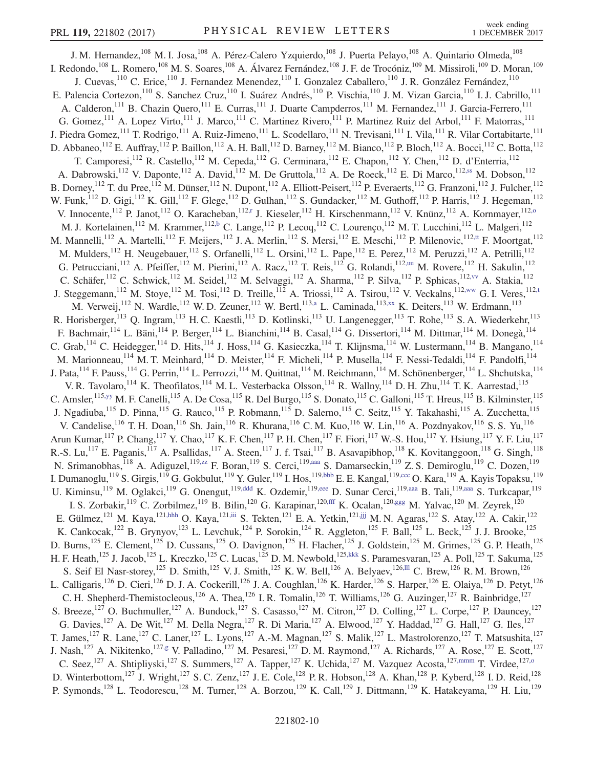<span id="page-9-14"></span><span id="page-9-13"></span><span id="page-9-12"></span><span id="page-9-11"></span><span id="page-9-10"></span><span id="page-9-9"></span><span id="page-9-8"></span><span id="page-9-7"></span><span id="page-9-6"></span><span id="page-9-5"></span><span id="page-9-4"></span><span id="page-9-3"></span><span id="page-9-2"></span><span id="page-9-1"></span><span id="page-9-0"></span>J. M. Hernandez,<sup>108</sup> M. I. Josa,<sup>108</sup> A. Pérez-Calero Yzquierdo,<sup>108</sup> J. Puerta Pelayo,<sup>108</sup> A. Quintario Olmeda,<sup>108</sup> I. Redondo,<sup>108</sup> L. Romero,<sup>108</sup> M. S. Soares,<sup>108</sup> A. Álvarez Fernández,<sup>108</sup> J. F. de Trocóniz,<sup>109</sup> M. Missiroli,<sup>109</sup> D. Moran,<sup>109</sup> J. Cuevas,<sup>110</sup> C. Erice,<sup>110</sup> J. Fernandez Menendez,<sup>110</sup> I. Gonzalez Caballero,<sup>110</sup> J. R. González Fernández,<sup>110</sup> E. Palencia Cortezon, 110 S. Sanchez Cruz, 110 I. Suárez Andrés, 110 P. Vischia, 110 J.M. Vizan Garcia, 110 I.J. Cabrillo, 111 A. Calderon,<sup>111</sup> B. Chazin Quero,<sup>111</sup> E. Curras,<sup>111</sup> J. Duarte Campderros,<sup>111</sup> M. Fernandez,<sup>111</sup> J. Garcia-Ferrero,<sup>111</sup> G. Gomez,<sup>111</sup> A. Lopez Virto,<sup>111</sup> J. Marco,<sup>111</sup> C. Martinez Rivero,<sup>111</sup> P. Martinez Ruiz del Arbol,<sup>111</sup> F. Matorras,<sup>111</sup> J. Piedra Gomez, <sup>111</sup> T. Rodrigo, <sup>111</sup> A. Ruiz-Jimeno, <sup>111</sup> L. Scodellaro, <sup>111</sup> N. Trevisani, <sup>111</sup> I. Vila, <sup>111</sup> R. Vilar Cortabitarte, <sup>111</sup> D. Abbaneo,<sup>112</sup> E. Auffray,<sup>112</sup> P. Baillon,<sup>112</sup> A. H. Ball,<sup>112</sup> D. Barney,<sup>112</sup> M. Bianco,<sup>112</sup> P. Bloch,<sup>112</sup> A. Bocci,<sup>112</sup> C. Botta,<sup>112</sup> T. Camporesi,<sup>112</sup> R. Castello,<sup>112</sup> M. Cepeda,<sup>112</sup> G. Cerminara,<sup>112</sup> E. Chapon,<sup>112</sup> Y. Chen,<sup>112</sup> D. d'Enterria,<sup>112</sup> A. Dabrowski,<sup>112</sup> V. Daponte,<sup>112</sup> A. David,<sup>112</sup> M. De Gruttola,<sup>112</sup> A. De Roeck,<sup>112</sup> E. Di Marco,<sup>112[,ss](#page-16-15)</sup> M. Dobson,<sup>112</sup> B. Dorney,<sup>112</sup> T. du Pree,<sup>112</sup> M. Dünser,<sup>112</sup> N. Dupont,<sup>112</sup> A. Elliott-Peisert,<sup>112</sup> P. Everaerts,<sup>112</sup> G. Franzoni,<sup>112</sup> J. Fulcher,<sup>112</sup> W. Funk,<sup>112</sup> D. Gigi,<sup>112</sup> K. Gill,<sup>112</sup> F. Glege,<sup>112</sup> D. Gulhan,<sup>112</sup> S. Gundacker,<sup>112</sup> M. Guthoff,<sup>112</sup> P. Harris,<sup>112</sup> J. Hegeman,<sup>112</sup> V. Innocente,<sup>112</sup> P. Janot,<sup>112</sup> O. Karacheban,<sup>11[2,r](#page-15-16)</sup> J. Kieseler,<sup>112</sup> H. Kirschenmann,<sup>112</sup> V. Knünz,<sup>112</sup> A. Kornmayer,<sup>112,0</sup> M. J. Kortelainen,<sup>112</sup> M. Krammer,<sup>11[2,b](#page-15-0)</sup> C. Lange,<sup>112</sup> P. Lecoq,<sup>112</sup> C. Lourenço,<sup>112</sup> M. T. Lucchini,<sup>112</sup> L. Malgeri,<sup>112</sup> M. Mannelli,<sup>112</sup> A. Martelli,<sup>112</sup> F. Meijers,<sup>112</sup> J. A. Merlin,<sup>112</sup> S. Mersi,<sup>112</sup> E. Meschi,<sup>112</sup> P. Milenovic,<sup>11[2,tt](#page-16-16)</sup> F. Moortgat,<sup>112</sup> M. Mulders, <sup>112</sup> H. Neugebauer, <sup>112</sup> S. Orfanelli, <sup>112</sup> L. Orsini, <sup>112</sup> L. Pape, <sup>112</sup> E. Perez, <sup>112</sup> M. Peruzzi, <sup>112</sup> A. Petrilli, <sup>112</sup> G. Petrucciani,<sup>112</sup> A. Pfeiffer,<sup>112</sup> M. Pierini,<sup>112</sup> A. Racz,<sup>112</sup> T. Reis,<sup>112</sup> G. Rolandi,<sup>112[,uu](#page-16-17)</sup> M. Rovere,<sup>112</sup> H. Sakulin,<sup>112</sup> C. Schäfer,<sup>112</sup> C. Schwick,<sup>112</sup> M. Seidel,<sup>112</sup> M. Selvaggi,<sup>112</sup> A. Sharma,<sup>112</sup> P. Silva,<sup>112</sup> P. Sphicas,<sup>11[2,vv](#page-16-18)</sup> A. Stakia,<sup>112</sup> J. Steggemann,<sup>112</sup> M. Stoye,<sup>112</sup> M. Tosi,<sup>112</sup> D. Treille,<sup>112</sup> A. Triossi,<sup>112</sup> A. Tsirou,<sup>112</sup> V. Veckalns,<sup>112[,ww](#page-16-19)</sup> G. I. Veres,<sup>112[,t](#page-15-18)</sup> M. Verweij, $^{112}$  N. Wardle, $^{112}$  W. D. Zeuner, $^{112}$  W. Bertl, $^{113}$ , $^{113}$ , $^{113}$ , $^{113}$ , $^{113}$ , $^{113}$ , $^{113}$ , $^{113}$ , $^{113}$ , $^{113}$ , $^{113}$ , $^{113}$ , $^{113}$ , $^{113}$ , $^{113}$ , $^{113}$ , $^{113}$ , $^{113}$ , $^{113}$ , $^{$ R. Horisberger,<sup>113</sup> Q. Ingram,<sup>113</sup> H. C. Kaestli,<sup>113</sup> D. Kotlinski,<sup>113</sup> U. Langenegger,<sup>113</sup> T. Rohe,<sup>113</sup> S. A. Wiederkehr,<sup>113</sup> F. Bachmair, <sup>114</sup> L. Bäni, <sup>114</sup> P. Berger, <sup>114</sup> L. Bianchini, <sup>114</sup> B. Casal, <sup>114</sup> G. Dissertori, <sup>114</sup> M. Dittmar, <sup>114</sup> M. Donegà, <sup>114</sup> C. Grab,  $114$  C. Heidegger,  $114$  D. Hits,  $114$  J. Hoss,  $114$  G. Kasieczka,  $114$  T. Klijnsma,  $114$  W. Lustermann,  $114$  B. Mangano,  $114$ M. Marionneau, <sup>114</sup> M. T. Meinhard, <sup>114</sup> D. Meister, <sup>114</sup> F. Micheli, <sup>114</sup> P. Musella, <sup>114</sup> F. Nessi-Tedaldi, <sup>114</sup> F. Pandolfi, <sup>114</sup> J. Pata,<sup>114</sup> F. Pauss,<sup>114</sup> G. Perrin,<sup>114</sup> L. Perrozzi,<sup>114</sup> M. Quittnat,<sup>114</sup> M. Reichmann,<sup>114</sup> M. Schönenberger,<sup>114</sup> L. Shchutska,<sup>114</sup> V. R. Tavolaro,<sup>114</sup> K. Theofilatos,<sup>114</sup> M. L. Vesterbacka Olsson,<sup>114</sup> R. Wallny,<sup>114</sup> D. H. Zhu,<sup>114</sup> T. K. Aarrestad,<sup>115</sup> C. Amsler,<sup>11[5,yy](#page-16-21)</sup> M. F. Canelli,<sup>115</sup> A. De Cosa,<sup>115</sup> R. Del Burgo,<sup>115</sup> S. Donato,<sup>115</sup> C. Galloni,<sup>115</sup> T. Hreus,<sup>115</sup> B. Kilminster,<sup>115</sup> J. Ngadiuba,<sup>115</sup> D. Pinna,<sup>115</sup> G. Rauco,<sup>115</sup> P. Robmann,<sup>115</sup> D. Salerno,<sup>115</sup> C. Seitz,<sup>115</sup> Y. Takahashi,<sup>115</sup> A. Zucchetta,<sup>115</sup> V. Candelise,  $^{116}$  T. H. Doan,  $^{116}$  Sh. Jain,  $^{116}$  R. Khurana,  $^{116}$  C. M. Kuo,  $^{116}$  W. Lin,  $^{116}$  A. Pozdnyakov,  $^{116}$  S. S. Yu,  $^{116}$ Arun Kumar,<sup>117</sup> P. Chang,<sup>117</sup> Y. Chao,<sup>117</sup> K. F. Chen,<sup>117</sup> P. H. Chen,<sup>117</sup> F. Fiori,<sup>117</sup> W.-S. Hou,<sup>117</sup> Y. Hsiung,<sup>117</sup> Y. F. Liu,<sup>117</sup> R.-S. Lu,<sup>117</sup> E. Paganis,<sup>117</sup> A. Psallidas,<sup>117</sup> A. Steen,<sup>117</sup> J. f. Tsai,<sup>117</sup> B. Asavapibhop,<sup>118</sup> K. Kovitanggoon,<sup>118</sup> G. Singh,<sup>118</sup> N. Srimanobhas,<sup>118</sup> A. Adiguzel,<sup>119[,zz](#page-16-22)</sup> F. Boran,<sup>119</sup> S. Cerci,<sup>11[9,aaa](#page-16-23)</sup> S. Damarseckin,<sup>119</sup> Z. S. Demiroglu,<sup>119</sup> C. Dozen,<sup>119</sup> I. Dumanoglu,  $^{119}$  S. Girgis,  $^{119}$  G. Gokbulut,  $^{119}$  Y. Guler,  $^{119}$  I. Hos,  $^{119,bbb}$  $^{119,bbb}$  $^{119,bbb}$  E. E. Kangal,  $^{119,ccc}$  $^{119,ccc}$  $^{119,ccc}$  O. Kara,  $^{119}$  A. Kayis Topaksu,  $^{119}$ U. Kiminsu,<sup>119</sup> M. Oglakci,<sup>119</sup> G. Onengut,<sup>11[9,ddd](#page-16-26)</sup> K. Ozdemir,<sup>11[9,eee](#page-16-27)</sup> D. Sunar Cerci,<sup>119[,aaa](#page-16-23)</sup> B. Tali,<sup>119,aaa</sup> S. Turkcapar,<sup>119</sup> I. S. Zorbakir, <sup>119</sup> C. Zorbilmez, <sup>119</sup> B. Bilin, <sup>120</sup> G. Karapinar, <sup>12[0,fff](#page-16-28)</sup> K. Ocalan, <sup>120[,ggg](#page-16-29)</sup> M. Yalvac, <sup>120</sup> M. Zeyrek, <sup>120</sup> E. Gülmez,<sup>121</sup> M. Kaya,<sup>12[1,hhh](#page-16-30)</sup> O. Kaya,<sup>12[1,iii](#page-16-31)</sup> S. Tekten,<sup>121</sup> E. A. Yetkin,<sup>12[1,jjj](#page-16-32)</sup> M. N. Agaras,<sup>122</sup> S. Atay,<sup>122</sup> A. Cakir,<sup>122</sup> K. Cankocak,<sup>122</sup> B. Grynyov,<sup>123</sup> L. Levchuk,<sup>124</sup> P. Sorokin,<sup>124</sup> R. Aggleton,<sup>125</sup> F. Ball,<sup>125</sup> L. Beck,<sup>125</sup> J. J. Brooke,<sup>125</sup> D. Burns,<sup>125</sup> E. Clement,<sup>125</sup> D. Cussans,<sup>125</sup> O. Davignon,<sup>125</sup> H. Flacher,<sup>125</sup> J. Goldstein,<sup>125</sup> M. Grimes,<sup>125</sup> G. P. Heath,<sup>125</sup> H. F. Heath,<sup>125</sup> J. Jacob,<sup>125</sup> L. Kreczko,<sup>125</sup> C. Lucas,<sup>125</sup> D. M. Newbold,<sup>12[5,kkk](#page-16-33)</sup> S. Paramesvaran,<sup>125</sup> A. Poll,<sup>125</sup> T. Sakuma,<sup>125</sup> S. Seif El Nasr-storey,<sup>125</sup> D. Smith,<sup>125</sup> V. J. Smith,<sup>125</sup> K. W. Bell,<sup>126</sup> A. Belyaev,<sup>12[6,lll](#page-16-34)</sup> C. Brew,<sup>126</sup> R. M. Brown,<sup>126</sup> L. Calligaris,<sup>126</sup> D. Cieri,<sup>126</sup> D. J. A. Cockerill,<sup>126</sup> J. A. Coughlan,<sup>126</sup> K. Harder,<sup>126</sup> S. Harper,<sup>126</sup> E. Olaiya,<sup>126</sup> D. Petyt,<sup>126</sup> C. H. Shepherd-Themistocleous,<sup>126</sup> A. Thea,<sup>126</sup> I. R. Tomalin,<sup>126</sup> T. Williams,<sup>126</sup> G. Auzinger,<sup>127</sup> R. Bainbridge,<sup>127</sup> S. Breeze,<sup>127</sup> O. Buchmuller,<sup>127</sup> A. Bundock,<sup>127</sup> S. Casasso,<sup>127</sup> M. Citron,<sup>127</sup> D. Colling,<sup>127</sup> L. Corpe,<sup>127</sup> P. Dauncey,<sup>127</sup> G. Davies,<sup>127</sup> A. De Wit,<sup>127</sup> M. Della Negra,<sup>127</sup> R. Di Maria,<sup>127</sup> A. Elwood,<sup>127</sup> Y. Haddad,<sup>127</sup> G. Hall,<sup>127</sup> G. Iles,<sup>127</sup> T. James,<sup>127</sup> R. Lane,<sup>127</sup> C. Laner,<sup>127</sup> L. Lyons,<sup>127</sup> A.-M. Magnan,<sup>127</sup> S. Malik,<sup>127</sup> L. Mastrolorenzo,<sup>127</sup> T. Matsushita,<sup>127</sup> J. Nash,<sup>127</sup> A. Nikitenko,<sup>12[7,g](#page-15-5)</sup> V. Palladino,<sup>127</sup> M. Pesaresi,<sup>127</sup> D. M. Raymond,<sup>127</sup> A. Richards,<sup>127</sup> A. Rose,<sup>127</sup> E. Scott,<sup>127</sup> C. Seez,<sup>127</sup> A. Shtipliyski,<sup>127</sup> S. Summers,<sup>127</sup> A. Tapper,<sup>127</sup> K. Uchida,<sup>127</sup> M. Vazquez Acosta,<sup>12[7,mmm](#page-16-35)</sup> T. Virdee,<sup>127,0</sup> D. Winterbottom,<sup>127</sup> J. Wright,<sup>127</sup> S. C. Zenz,<sup>127</sup> J. E. Cole,<sup>128</sup> P. R. Hobson,<sup>128</sup> A. Khan,<sup>128</sup> P. Kyberd,<sup>128</sup> I. D. Reid,<sup>128</sup> P. Symonds,<sup>128</sup> L. Teodorescu,<sup>128</sup> M. Turner,<sup>128</sup> A. Borzou,<sup>129</sup> K. Call,<sup>129</sup> J. Dittmann,<sup>129</sup> K. Hatakeyama,<sup>129</sup> H. Liu,<sup>129</sup>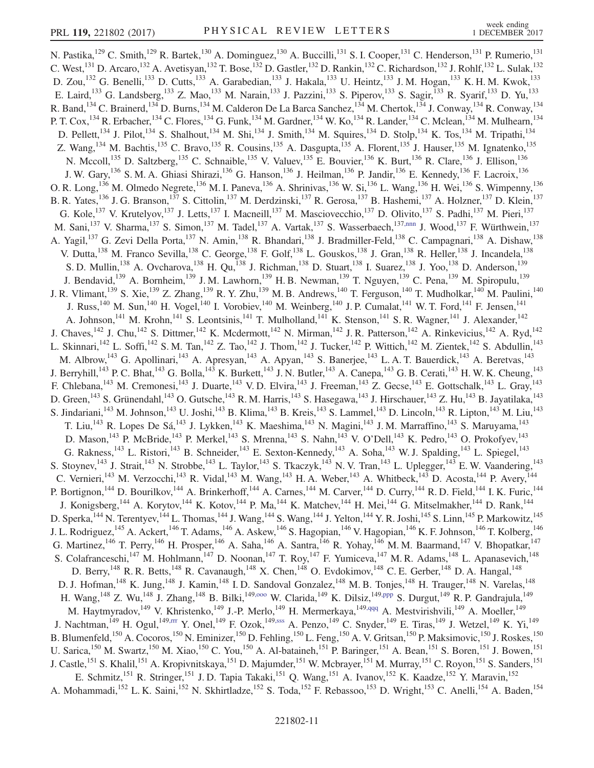<span id="page-10-3"></span><span id="page-10-2"></span><span id="page-10-1"></span><span id="page-10-0"></span>N. Pastika,<sup>129</sup> C. Smith,<sup>129</sup> R. Bartek,<sup>130</sup> A. Dominguez,<sup>130</sup> A. Buccilli,<sup>131</sup> S. I. Cooper,<sup>131</sup> C. Henderson,<sup>131</sup> P. Rumerio,<sup>131</sup> C. West,<sup>131</sup> D. Arcaro,<sup>132</sup> A. Avetisyan,<sup>132</sup> T. Bose,<sup>132</sup> D. Gastler,<sup>132</sup> D. Rankin,<sup>132</sup> C. Richardson,<sup>132</sup> J. Rohlf,<sup>132</sup> L. Sulak,<sup>132</sup> D. Zou,<sup>132</sup> G. Benelli,<sup>133</sup> D. Cutts,<sup>133</sup> A. Garabedian,<sup>133</sup> J. Hakala,<sup>133</sup> U. Heintz,<sup>133</sup> J. M. Hogan,<sup>133</sup> K. H. M. Kwok,<sup>133</sup> E. Laird,<sup>133</sup> G. Landsberg,<sup>133</sup> Z. Mao,<sup>133</sup> M. Narain,<sup>133</sup> J. Pazzini,<sup>133</sup> S. Piperov,<sup>133</sup> S. Sagir,<sup>133</sup> R. Syarif,<sup>133</sup> D. Yu,<sup>133</sup> R. Band, <sup>134</sup> C. Brainerd, <sup>134</sup> D. Burns, <sup>134</sup> M. Calderon De La Barca Sanchez, <sup>134</sup> M. Chertok, <sup>134</sup> J. Conway, <sup>134</sup> R. Conway, <sup>134</sup> P. T. Cox, <sup>134</sup> R. Erbacher, <sup>134</sup> C. Flores, <sup>134</sup> G. Funk, <sup>134</sup> M. Gardner, <sup>134</sup> W. Ko, <sup>134</sup> R. Lander, <sup>134</sup> C. Mclean, <sup>134</sup> M. Mulhearn, <sup>134</sup> D. Pellett,<sup>134</sup> J. Pilot,<sup>134</sup> S. Shalhout,<sup>134</sup> M. Shi,<sup>134</sup> J. Smith,<sup>134</sup> M. Squires,<sup>134</sup> D. Stolp,<sup>134</sup> K. Tos,<sup>134</sup> M. Tripathi,<sup>134</sup> Z. Wang,<sup>134</sup> M. Bachtis,<sup>135</sup> C. Bravo,<sup>135</sup> R. Cousins,<sup>135</sup> A. Dasgupta,<sup>135</sup> A. Florent,<sup>135</sup> J. Hauser,<sup>135</sup> M. Ignatenko,<sup>135</sup> N. Mccoll,<sup>135</sup> D. Saltzberg,<sup>135</sup> C. Schnaible,<sup>135</sup> V. Valuev,<sup>135</sup> E. Bouvier,<sup>136</sup> K. Burt,<sup>136</sup> R. Clare,<sup>136</sup> J. Ellison,<sup>136</sup> J. W. Gary,<sup>136</sup> S. M. A. Ghiasi Shirazi,<sup>136</sup> G. Hanson,<sup>136</sup> J. Heilman,<sup>136</sup> P. Jandir,<sup>136</sup> E. Kennedy,<sup>136</sup> F. Lacroix,<sup>136</sup> O. R. Long,  $^{136}$  M. Olmedo Negrete,  $^{136}$  M. I. Paneva,  $^{136}$  A. Shrinivas,  $^{136}$  W. Si,  $^{136}$  L. Wang,  $^{136}$  H. Wei,  $^{136}$  S. Wimpenny,  $^{136}$ B. R. Yates,<sup>136</sup> J. G. Branson,<sup>137</sup> S. Cittolin,<sup>137</sup> M. Derdzinski,<sup>137</sup> R. Gerosa,<sup>137</sup> B. Hashemi,<sup>137</sup> A. Holzner,<sup>137</sup> D. Klein,<sup>137</sup> G. Kole,<sup>137</sup> V. Krutelyov,<sup>137</sup> J. Letts,<sup>137</sup> I. Macneill,<sup>137</sup> M. Masciovecchio,<sup>137</sup> D. Olivito,<sup>137</sup> S. Padhi,<sup>137</sup> M. Pieri,<sup>137</sup> M. Sani,<sup>137</sup> V. Sharma,<sup>137</sup> S. Simon,<sup>137</sup> M. Tadel,<sup>137</sup> A. Vartak,<sup>137</sup> S. Wasserbaech,<sup>137[,nnn](#page-16-36)</sup> J. Wood,<sup>137</sup> F. Würthwein,<sup>137</sup> A. Yagil,<sup>137</sup> G. Zevi Della Porta,<sup>137</sup> N. Amin,<sup>138</sup> R. Bhandari,<sup>138</sup> J. Bradmiller-Feld,<sup>138</sup> C. Campagnari,<sup>138</sup> A. Dishaw,<sup>138</sup> V. Dutta,  $^{138}$  M. Franco Sevilla,  $^{138}$  C. George,  $^{138}$  F. Golf,  $^{138}$  L. Gouskos,  $^{138}$  J. Gran,  $^{138}$  R. Heller,  $^{138}$  J. Incandela,  $^{138}$ S. D. Mullin,<sup>138</sup> A. Ovcharova,<sup>138</sup> H. Qu,<sup>138</sup> J. Richman,<sup>138</sup> D. Stuart,<sup>138</sup> I. Suarez,<sup>138</sup> J. Yoo,<sup>138</sup> D. Anderson,<sup>139</sup> J. Bendavid,<sup>139</sup> A. Bornheim,<sup>139</sup> J. M. Lawhorn,<sup>139</sup> H. B. Newman,<sup>139</sup> T. Nguyen,<sup>139</sup> C. Pena,<sup>139</sup> M. Spiropulu,<sup>139</sup> J. R. Vlimant,  $^{139}$  S. Xie,  $^{139}$  Z. Zhang,  $^{139}$  R. Y. Zhu,  $^{139}$  M. B. Andrews,  $^{140}$  T. Ferguson,  $^{140}$  T. Mudholkar,  $^{140}$  M. Paulini,  $^{140}$ J. Russ,<sup>140</sup> M. Sun,<sup>140</sup> H. Vogel,<sup>140</sup> I. Vorobiev,<sup>140</sup> M. Weinberg,<sup>140</sup> J. P. Cumalat,<sup>141</sup> W. T. Ford,<sup>141</sup> F. Jensen,<sup>141</sup> A. Johnson,<sup>141</sup> M. Krohn,<sup>141</sup> S. Leontsinis,<sup>141</sup> T. Mulholland,<sup>141</sup> K. Stenson,<sup>141</sup> S. R. Wagner,<sup>141</sup> J. Alexander,<sup>142</sup> J. Chaves,<sup>142</sup> J. Chu,<sup>142</sup> S. Dittmer,<sup>142</sup> K. Mcdermott,<sup>142</sup> N. Mirman,<sup>142</sup> J. R. Patterson,<sup>142</sup> A. Rinkevicius,<sup>142</sup> A. Ryd,<sup>142</sup> L. Skinnari,<sup>142</sup> L. Soffi,<sup>142</sup> S. M. Tan,<sup>142</sup> Z. Tao,<sup>142</sup> J. Thom,<sup>142</sup> J. Tucker,<sup>142</sup> P. Wittich,<sup>142</sup> M. Zientek,<sup>142</sup> S. Abdullin,<sup>143</sup> M. Albrow,<sup>143</sup> G. Apollinari,<sup>143</sup> A. Apresyan,<sup>143</sup> A. Apyan,<sup>143</sup> S. Banerjee,<sup>143</sup> L. A. T. Bauerdick,<sup>143</sup> A. Beretvas,<sup>143</sup> J. Berryhill,<sup>143</sup> P. C. Bhat,<sup>143</sup> G. Bolla,<sup>143</sup> K. Burkett,<sup>143</sup> J. N. Butler,<sup>143</sup> A. Canepa,<sup>143</sup> G. B. Cerati,<sup>143</sup> H. W. K. Cheung,<sup>143</sup> F. Chlebana,<sup>143</sup> M. Cremonesi,<sup>143</sup> J. Duarte,<sup>143</sup> V.D. Elvira,<sup>143</sup> J. Freeman,<sup>143</sup> Z. Gecse,<sup>143</sup> E. Gottschalk,<sup>143</sup> L. Gray,<sup>143</sup> D. Green,<sup>143</sup> S. Grünendahl,<sup>143</sup> O. Gutsche,<sup>143</sup> R. M. Harris,<sup>143</sup> S. Hasegawa,<sup>143</sup> J. Hirschauer,<sup>143</sup> Z. Hu,<sup>143</sup> B. Jayatilaka,<sup>143</sup> S. Jindariani,<sup>143</sup> M. Johnson,<sup>143</sup> U. Joshi,<sup>143</sup> B. Klima,<sup>143</sup> B. Kreis,<sup>143</sup> S. Lammel,<sup>143</sup> D. Lincoln,<sup>143</sup> R. Lipton,<sup>143</sup> M. Liu,<sup>143</sup> T. Liu,<sup>143</sup> R. Lopes De Sá,<sup>143</sup> J. Lykken,<sup>143</sup> K. Maeshima,<sup>143</sup> N. Magini,<sup>143</sup> J. M. Marraffino,<sup>143</sup> S. Maruyama,<sup>143</sup> D. Mason,<sup>143</sup> P. McBride,<sup>143</sup> P. Merkel,<sup>143</sup> S. Mrenna,<sup>143</sup> S. Nahn,<sup>143</sup> V. O'Dell,<sup>143</sup> K. Pedro,<sup>143</sup> O. Prokofyev,<sup>143</sup> G. Rakness,<sup>143</sup> L. Ristori,<sup>143</sup> B. Schneider,<sup>143</sup> E. Sexton-Kennedy,<sup>143</sup> A. Soha,<sup>143</sup> W. J. Spalding,<sup>143</sup> L. Spiegel,<sup>143</sup> S. Stoynev,<sup>143</sup> J. Strait,<sup>143</sup> N. Strobbe,<sup>143</sup> L. Taylor,<sup>143</sup> S. Tkaczyk,<sup>143</sup> N. V. Tran,<sup>143</sup> L. Uplegger,<sup>143</sup> E. W. Vaandering,<sup>143</sup> C. Vernieri,<sup>143</sup> M. Verzocchi,<sup>143</sup> R. Vidal,<sup>143</sup> M. Wang,<sup>143</sup> H. A. Weber,<sup>143</sup> A. Whitbeck,<sup>143</sup> D. Acosta,<sup>144</sup> P. Avery,<sup>144</sup> P. Bortignon,<sup>144</sup> D. Bourilkov,<sup>144</sup> A. Brinkerhoff,<sup>144</sup> A. Carnes,<sup>144</sup> M. Carver,<sup>144</sup> D. Curry,<sup>144</sup> R. D. Field,<sup>144</sup> I. K. Furic,<sup>144</sup> J. Konigsberg,<sup>144</sup> A. Korytov,<sup>144</sup> K. Kotov,<sup>144</sup> P. Ma,<sup>144</sup> K. Matchev,<sup>144</sup> H. Mei,<sup>144</sup> G. Mitselmakher,<sup>144</sup> D. Rank,<sup>144</sup> D. Sperka,<sup>144</sup> N. Terentyev,<sup>144</sup> L. Thomas,<sup>144</sup> J. Wang,<sup>144</sup> S. Wang,<sup>144</sup> J. Yelton,<sup>144</sup> Y. R. Joshi,<sup>145</sup> S. Linn,<sup>145</sup> P. Markowitz,<sup>145</sup> J. L. Rodriguez,<sup>145</sup> A. Ackert,<sup>146</sup> T. Adams,<sup>146</sup> A. Askew,<sup>146</sup> S. Hagopian,<sup>146</sup> V. Hagopian,<sup>146</sup> K. F. Johnson,<sup>146</sup> T. Kolberg,<sup>146</sup> G. Martinez, <sup>146</sup> T. Perry, <sup>146</sup> H. Prosper, <sup>146</sup> A. Saha, <sup>146</sup> A. Santra, <sup>146</sup> R. Yohay, <sup>146</sup> M. M. Baarmand, <sup>147</sup> V. Bhopatkar, <sup>147</sup> S. Colafranceschi,<sup>147</sup> M. Hohlmann,<sup>147</sup> D. Noonan,<sup>147</sup> T. Roy,<sup>147</sup> F. Yumiceva,<sup>147</sup> M. R. Adams,<sup>148</sup> L. Apanasevich,<sup>148</sup> D. Berry, <sup>148</sup> R. R. Betts, <sup>148</sup> R. Cavanaugh, <sup>148</sup> X. Chen, <sup>148</sup> O. Evdokimov, <sup>148</sup> C. E. Gerber, <sup>148</sup> D. A. Hangal, <sup>148</sup> D. J. Hofman,<sup>148</sup> K. Jung,<sup>148</sup> J. Kamin,<sup>148</sup> I.D. Sandoval Gonzalez,<sup>148</sup> M. B. Tonjes,<sup>148</sup> H. Trauger,<sup>148</sup> N. Varelas,<sup>148</sup> H. Wang, <sup>148</sup> Z. Wu, <sup>148</sup> J. Zhang, <sup>148</sup> B. Bilki, <sup>149,000</sup> W. Clarida, <sup>149</sup> K. Dilsiz, <sup>14[9,ppp](#page-16-38)</sup> S. Durgut, <sup>149</sup> R. P. Gandrajula, <sup>149</sup> M. Haytmyradov,<sup>149</sup> V. Khristenko,<sup>149</sup> J.-P. Merlo,<sup>149</sup> H. Mermerkaya,<sup>149[,qqq](#page-16-39)</sup> A. Mestvirishvili,<sup>149</sup> A. Moeller,<sup>149</sup> J. Nachtman,<sup>149</sup> H. Ogul,<sup>14[9,rrr](#page-16-40)</sup> Y. Onel,<sup>149</sup> F. Ozok,<sup>14[9,sss](#page-16-41)</sup> A. Penzo,<sup>149</sup> C. Snyder,<sup>149</sup> E. Tiras,<sup>149</sup> J. Wetzel,<sup>149</sup> K. Yi,<sup>149</sup> B. Blumenfeld,<sup>150</sup> A. Cocoros,<sup>150</sup> N. Eminizer,<sup>150</sup> D. Fehling,<sup>150</sup> L. Feng,<sup>150</sup> A. V. Gritsan,<sup>150</sup> P. Maksimovic,<sup>150</sup> J. Roskes,<sup>150</sup> U. Sarica, <sup>150</sup> M. Swartz, <sup>150</sup> M. Xiao, <sup>150</sup> C. You, <sup>150</sup> A. Al-bataineh, <sup>151</sup> P. Baringer, <sup>151</sup> A. Bean, <sup>151</sup> S. Boren, <sup>151</sup> J. Bowen, <sup>151</sup> J. Castle,<sup>151</sup> S. Khalil,<sup>151</sup> A. Kropivnitskaya,<sup>151</sup> D. Majumder,<sup>151</sup> W. Mcbrayer,<sup>151</sup> M. Murray,<sup>151</sup> C. Royon,<sup>151</sup> S. Sanders,<sup>151</sup> E. Schmitz,<sup>151</sup> R. Stringer,<sup>151</sup> J. D. Tapia Takaki,<sup>151</sup> Q. Wang,<sup>151</sup> A. Ivanov,<sup>152</sup> K. Kaadze,<sup>152</sup> Y. Maravin,<sup>152</sup> A. Mohammadi,<sup>152</sup> L. K. Saini,<sup>152</sup> N. Skhirtladze,<sup>152</sup> S. Toda,<sup>152</sup> F. Rebassoo,<sup>153</sup> D. Wright,<sup>153</sup> C. Anelli,<sup>154</sup> A. Baden,<sup>154</sup>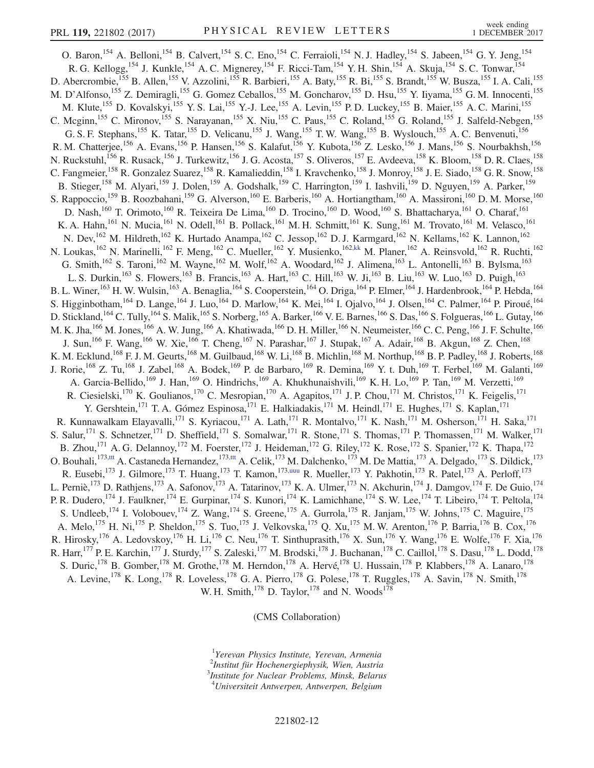O. Baron,<sup>154</sup> A. Belloni,<sup>154</sup> B. Calvert,<sup>154</sup> S. C. Eno,<sup>154</sup> C. Ferraioli,<sup>154</sup> N. J. Hadley,<sup>154</sup> S. Jabeen,<sup>154</sup> G. Y. Jeng,<sup>154</sup> R. G. Kellogg, <sup>154</sup> J. Kunkle, <sup>154</sup> A. C. Mignerey, <sup>154</sup> F. Ricci-Tam, <sup>154</sup> Y. H. Shin, <sup>154</sup> A. Skuja, <sup>154</sup> S. C. Tonwar, <sup>154</sup> D. Abercrombie,<sup>155</sup> B. Allen,<sup>155</sup> V. Azzolini,<sup>155</sup> R. Barbieri,<sup>155</sup> A. Baty,<sup>155</sup> R. Bi,<sup>155</sup> S. Brandt,<sup>155</sup> W. Busza,<sup>155</sup> I. A. Cali,<sup>155</sup> M. D'Alfonso,<sup>155</sup> Z. Demiragli,<sup>155</sup> G. Gomez Ceballos,<sup>155</sup> M. Goncharov,<sup>155</sup> D. Hsu,<sup>155</sup> Y. Iiyama,<sup>155</sup> G. M. Innocenti,<sup>155</sup> M. Klute,<sup>155</sup> D. Kovalskyi,<sup>155</sup> Y. S. Lai,<sup>155</sup> Y.-J. Lee,<sup>155</sup> A. Levin,<sup>155</sup> P. D. Luckey,<sup>155</sup> B. Maier,<sup>155</sup> A. C. Marini,<sup>155</sup> C. Mcginn,<sup>155</sup> C. Mironov,<sup>155</sup> S. Narayanan,<sup>155</sup> X. Niu,<sup>155</sup> C. Paus,<sup>155</sup> C. Roland,<sup>155</sup> G. Roland,<sup>155</sup> J. Salfeld-Nebgen,<sup>155</sup> G. S. F. Stephans,<sup>155</sup> K. Tatar,<sup>155</sup> D. Velicanu,<sup>155</sup> J. Wang,<sup>155</sup> T. W. Wang,<sup>155</sup> B. Wyslouch,<sup>155</sup> A. C. Benvenuti,<sup>156</sup> R. M. Chatterjee,<sup>156</sup> A. Evans,<sup>156</sup> P. Hansen,<sup>156</sup> S. Kalafut,<sup>156</sup> Y. Kubota,<sup>156</sup> Z. Lesko,<sup>156</sup> J. Mans,<sup>156</sup> S. Nourbakhsh,<sup>156</sup> N. Ruckstuhl,<sup>156</sup> R. Rusack,<sup>156</sup> J. Turkewitz,<sup>156</sup> J. G. Acosta,<sup>157</sup> S. Oliveros,<sup>157</sup> E. Avdeeva,<sup>158</sup> K. Bloom,<sup>158</sup> D. R. Claes,<sup>158</sup> C. Fangmeier,<sup>158</sup> R. Gonzalez Suarez,<sup>158</sup> R. Kamalieddin,<sup>158</sup> I. Kravchenko,<sup>158</sup> J. Monroy,<sup>158</sup> J. E. Siado,<sup>158</sup> G. R. Snow,<sup>158</sup> B. Stieger,<sup>158</sup> M. Alyari,<sup>159</sup> J. Dolen,<sup>159</sup> A. Godshalk,<sup>159</sup> C. Harrington,<sup>159</sup> I. Iashvili,<sup>159</sup> D. Nguyen,<sup>159</sup> A. Parker,<sup>159</sup> S. Rappoccio,<sup>159</sup> B. Roozbahani,<sup>159</sup> G. Alverson,<sup>160</sup> E. Barberis,<sup>160</sup> A. Hortiangtham,<sup>160</sup> A. Massironi,<sup>160</sup> D. M. Morse,<sup>160</sup> D. Nash,<sup>160</sup> T. Orimoto,<sup>160</sup> R. Teixeira De Lima,<sup>160</sup> D. Trocino,<sup>160</sup> D. Wood,<sup>160</sup> S. Bhattacharya,<sup>161</sup> O. Charaf,<sup>161</sup> K. A. Hahn,<sup>161</sup> N. Mucia,<sup>161</sup> N. Odell,<sup>161</sup> B. Pollack,<sup>161</sup> M. H. Schmitt,<sup>161</sup> K. Sung,<sup>161</sup> M. Trovato,<sup>161</sup> M. Velasco,<sup>161</sup> N. Dev,<sup>162</sup> M. Hildreth,<sup>162</sup> K. Hurtado Anampa,<sup>162</sup> C. Jessop,<sup>162</sup> D. J. Karmgard,<sup>162</sup> N. Kellams,<sup>162</sup> K. Lannon,<sup>162</sup> N. Loukas, <sup>162</sup> N. Marinelli, <sup>162</sup> F. Meng, <sup>162</sup> C. Mueller, <sup>162</sup> Y. Musienko, <sup>16[2,kk](#page-16-7)</sup> M. Planer, <sup>162</sup> A. Reinsvold, <sup>162</sup> R. Ruchti, <sup>162</sup> G. Smith,<sup>162</sup> S. Taroni,<sup>162</sup> M. Wayne,<sup>162</sup> M. Wolf,<sup>162</sup> A. Woodard,<sup>162</sup> J. Alimena,<sup>163</sup> L. Antonelli,<sup>163</sup> B. Bylsma,<sup>163</sup> L. S. Durkin,<sup>163</sup> S. Flowers,<sup>163</sup> B. Francis,<sup>163</sup> A. Hart,<sup>163</sup> C. Hill,<sup>163</sup> W. Ji,<sup>163</sup> B. Liu,<sup>163</sup> W. Luo,<sup>163</sup> D. Puigh,<sup>163</sup> B. L. Winer, <sup>163</sup> H. W. Wulsin, <sup>163</sup> A. Benaglia, <sup>164</sup> S. Cooperstein, <sup>164</sup> O. Driga, <sup>164</sup> P. Elmer, <sup>164</sup> J. Hardenbrook, <sup>164</sup> P. Hebda, <sup>164</sup> S. Higginbotham, <sup>164</sup> D. Lange, <sup>164</sup> J. Luo, <sup>164</sup> D. Marlow, <sup>164</sup> K. Mei, <sup>164</sup> I. Ojalvo, <sup>164</sup> J. Olsen, <sup>164</sup> C. Palmer, <sup>164</sup> P. Piroué, <sup>164</sup> D. Stickland,<sup>164</sup> C. Tully,<sup>164</sup> S. Malik,<sup>165</sup> S. Norberg,<sup>165</sup> A. Barker,<sup>166</sup> V. E. Barnes,<sup>166</sup> S. Das,<sup>166</sup> S. Folgueras,<sup>166</sup> L. Gutay,<sup>166</sup> M. K. Jha, <sup>166</sup> M. Jones, <sup>166</sup> A. W. Jung, <sup>166</sup> A. Khatiwada, <sup>166</sup> D. H. Miller, <sup>166</sup> N. Neumeister, <sup>166</sup> C. C. Peng, <sup>166</sup> J. F. Schulte, <sup>166</sup> J. Sun,<sup>166</sup> F. Wang,<sup>166</sup> W. Xie,<sup>166</sup> T. Cheng,<sup>167</sup> N. Parashar,<sup>167</sup> J. Stupak,<sup>167</sup> A. Adair,<sup>168</sup> B. Akgun,<sup>168</sup> Z. Chen,<sup>168</sup> K. M. Ecklund,<sup>168</sup> F. J. M. Geurts,<sup>168</sup> M. Guilbaud,<sup>168</sup> W. Li,<sup>168</sup> B. Michlin,<sup>168</sup> M. Northup,<sup>168</sup> B. P. Padley,<sup>168</sup> J. Roberts,<sup>168</sup> J. Rorie,<sup>168</sup> Z. Tu,<sup>168</sup> J. Zabel,<sup>168</sup> A. Bodek,<sup>169</sup> P. de Barbaro,<sup>169</sup> R. Demina,<sup>169</sup> Y. t. Duh,<sup>169</sup> T. Ferbel,<sup>169</sup> M. Galanti,<sup>169</sup> A. Garcia-Bellido,<sup>169</sup> J. Han,<sup>169</sup> O. Hindrichs,<sup>169</sup> A. Khukhunaishvili,<sup>169</sup> K. H. Lo,<sup>169</sup> P. Tan,<sup>169</sup> M. Verzetti,<sup>169</sup> R. Ciesielski,<sup>170</sup> K. Goulianos,<sup>170</sup> C. Mesropian,<sup>170</sup> A. Agapitos,<sup>171</sup> J. P. Chou,<sup>171</sup> M. Christos,<sup>171</sup> K. Feigelis,<sup>171</sup> Y. Gershtein,<sup>171</sup> T. A. Gómez Espinosa,<sup>171</sup> E. Halkiadakis,<sup>171</sup> M. Heindl,<sup>171</sup> E. Hughes,<sup>171</sup> S. Kaplan,<sup>171</sup> R. Kunnawalkam Elayavalli,<sup>171</sup> S. Kyriacou,<sup>171</sup> A. Lath,<sup>171</sup> R. Montalvo,<sup>171</sup> K. Nash,<sup>171</sup> M. Osherson,<sup>171</sup> H. Saka,<sup>171</sup> S. Salur,<sup>171</sup> S. Schnetzer,<sup>171</sup> D. Sheffield,<sup>171</sup> S. Somalwar,<sup>171</sup> R. Stone,<sup>171</sup> S. Thomas,<sup>171</sup> P. Thomassen,<sup>171</sup> M. Walker,<sup>171</sup> B. Zhou,<sup>171</sup> A. G. Delannoy,<sup>172</sup> M. Foerster,<sup>172</sup> J. Heideman,<sup>172</sup> G. Riley,<sup>172</sup> K. Rose,<sup>172</sup> S. Spanier,<sup>172</sup> K. Thapa,<sup>172</sup> O. Bouhali,<sup>173[,ttt](#page-16-42)</sup> A. Castaneda Hernandez,<sup>173,ttt</sup> A. Celik,<sup>173</sup> M. Dalchenko,<sup>173</sup> M. De Mattia,<sup>173</sup> A. Delgado,<sup>173</sup> S. Dildick,<sup>173</sup> R. Eusebi,<sup>173</sup> J. Gilmore,<sup>173</sup> T. Huang,<sup>173</sup> T. Kamon,<sup>173[,uuu](#page-16-43)</sup> R. Mueller,<sup>173</sup> Y. Pakhotin,<sup>173</sup> R. Patel,<sup>173</sup> A. Perloff,<sup>173</sup> L. Perniè, <sup>173</sup> D. Rathjens, <sup>173</sup> A. Safonov, <sup>173</sup> A. Tatarinov, <sup>173</sup> K. A. Ulmer, <sup>173</sup> N. Akchurin, <sup>174</sup> J. Damgov, <sup>174</sup> F. De Guio, <sup>174</sup> P. R. Dudero,<sup>174</sup> J. Faulkner,<sup>174</sup> E. Gurpinar,<sup>174</sup> S. Kunori,<sup>174</sup> K. Lamichhane,<sup>174</sup> S. W. Lee,<sup>174</sup> T. Libeiro,<sup>174</sup> T. Peltola,<sup>174</sup> S. Undleeb, <sup>174</sup> I. Volobouev, <sup>174</sup> Z. Wang, <sup>174</sup> S. Greene, <sup>175</sup> A. Gurrola, <sup>175</sup> R. Janjam, <sup>175</sup> W. Johns, <sup>175</sup> C. Maguire, <sup>175</sup> A. Melo,<sup>175</sup> H. Ni,<sup>175</sup> P. Sheldon,<sup>175</sup> S. Tuo,<sup>175</sup> J. Velkovska,<sup>175</sup> Q. Xu,<sup>175</sup> M. W. Arenton,<sup>176</sup> P. Barria,<sup>176</sup> B. Cox,<sup>176</sup> R. Hirosky,<sup>176</sup> A. Ledovskoy,<sup>176</sup> H. Li,<sup>176</sup> C. Neu,<sup>176</sup> T. Sinthuprasith,<sup>176</sup> X. Sun,<sup>176</sup> Y. Wang,<sup>176</sup> E. Wolfe,<sup>176</sup> F. Xia,<sup>176</sup> R. Harr,<sup>177</sup> P. E. Karchin,<sup>177</sup> J. Sturdy,<sup>177</sup> S. Zaleski,<sup>177</sup> M. Brodski,<sup>178</sup> J. Buchanan,<sup>178</sup> C. Caillol,<sup>178</sup> S. Dasu,<sup>178</sup> L. Dodd,<sup>178</sup> S. Duric, <sup>178</sup> B. Gomber, <sup>178</sup> M. Grothe, <sup>178</sup> M. Herndon, <sup>178</sup> A. Hervé, <sup>178</sup> U. Hussain, <sup>178</sup> P. Klabbers, <sup>178</sup> A. Lanaro, <sup>178</sup> A. Levine,<sup>178</sup> K. Long,<sup>178</sup> R. Loveless,<sup>178</sup> G. A. Pierro,<sup>178</sup> G. Polese,<sup>178</sup> T. Ruggles,<sup>178</sup> A. Savin,<sup>178</sup> N. Smith,<sup>178</sup> W. H. Smith, $178$  D. Taylor, $178$  and N. Woods $178$ 

(CMS Collaboration)

<span id="page-11-1"></span><span id="page-11-0"></span><sup>1</sup>Yerevan Physics Institute, Yerevan, Armenia 2 Institut für Hochenergiephysik, Wien, Austria 3 Institute for Nuclear Problems, Minsk, Belarus <sup>4</sup>Universiteit Antwerpen, Antwerpen, Belgium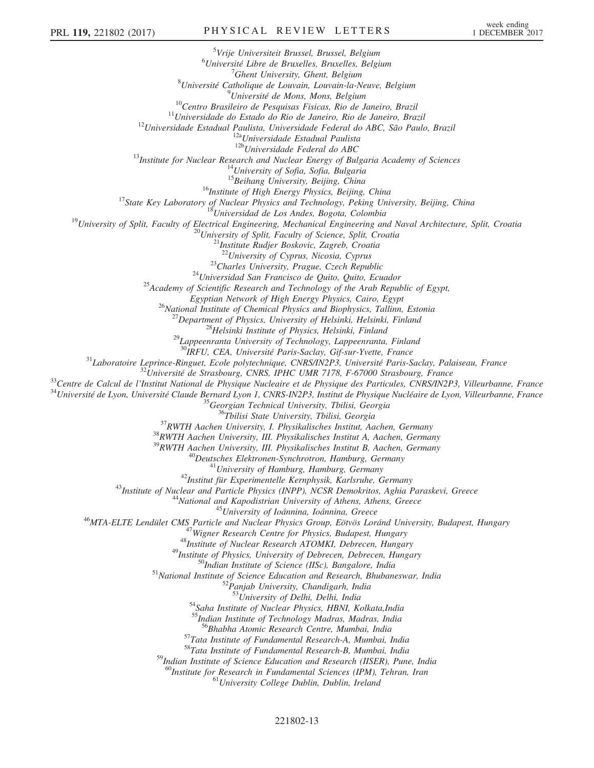<sup>5</sup>Vrije Universiteit Brussel, Brussel, Belgium<br><sup>6</sup>Université Libre de Pruxelles, Pruxelles, Belgi <sup>6</sup>Université Libre de Bruxelles, Bruxelles, Belgium  $\frac{7}{7}$ Ghent University, Ghent, Belgium  $'$ Ghent University, Ghent, Belgium<br> ${}^{8}U$ piyersité Catholique de Louveir, Louveir la N Université Catholique de Louvain, Louvain-la-Neuve, Belgium<br><sup>9</sup>Université de Mons, Mons, Belgium <sup>9</sup>Université de Mons, Mons, Belgium<br><sup>10</sup>Centro Brasileiro de Pesquisas Fisicas, Rio de Janeiro, Brazil<br><sup>11</sup>Universidade do Estado do Rio de Janeiro, Rio de Janeiro, Brazil<br><sup>12</sup>Universidade Estadual Paulista, Universidade <sup>16</sup><br>
<sup>16</sup> Institute of High Energy Physics, Beijing, China<br>
<sup>17</sup> State Key Laboratory of Nuclear Physics and Technology, Peking University, Beijing, China<br>
<sup>18</sup> Universidad de Los Andes, Bogota, Colombia<br>
<sup>19</sup> University <sup>23</sup>Charles University, Prague, Czech Republic<br><sup>24</sup>Universidad San Francisco de Quito, Quito, Ecuador <sup>25</sup>Academy of Scientific Research and Technology of the Arab Republic of Egypt, Egyptian Network of High Energy Physics, Cairo, Egypt<br><sup>26</sup>National Institute of Chemical Physics and Biophysics, Tallinn, Estonia<br><sup>27</sup>Department of Physics, University of Helsinki, Helsinki, Finland<br><sup>28</sup>Helsinki Institute  $\begin{array}{r} \text{^{31}Laboratoire} \ Leprince-Ringuet, Ecole polytechnique, CNRS/IN2P3, University, 2000 Strasbourg, Palaiseau, France \\ \text{^{32}Université de Strasbourg, CNRS, IPHC UMR 7178, F-67000 Strasbourg, France} \\ \text{^{33}Center de Calcul de l'Institut National de Physique Nucleaire et de Physique des Partícules, CNRS/IN2P3, Villeurbanne, France} \\ \text{^{34}Université de Lyon, University Claude Bernard Lyon I, CNRS-IN2P3, Institut de Physique Nucléaire de Lyon, Villeurbanne, France} \\ \text{^{35}Georgan Technical University, Tbilisi, Georgia} \\ \text{^{36}$ <sup>39</sup>RWTH Aachen University, III. Physikalisches Institut B, Aachen, Germany <sup>40</sup>Deutsches Elektronen-Synchrotron, Hamburg, Germany <sup>41</sup>University of Hamburg, Hamburg, Germany <sup>42</sup>Institut für Experimentelle Kernphysik, Karlsruhe, Germany <sup>43</sup>Institute of Nuclear and Particle Physics (INPP), NCSR Demokritos, Aghia Paraskevi, Greece <sup>44</sup>National and Kapodistrian University of Athens, Athens, Greece <sup>45</sup>University of Ioánnina, Ioánnina, Greece <sup>46</sup>MTA-ELTE Lendület CMS Particle and Nuclear Physics Group, Eötvös Loránd University, Budapest, Hungary <sup>47</sup>Wigner Research Centre for Physics, Budapest, Hungary <sup>48</sup>Institute of Nuclear Research ATOMKI, Debrecen, Hungary <sup>49</sup>Institute of Physics, University of Debrecen, Debrecen, Hungary <sup>50</sup>Indian Institute of Science (IISc), Bangalore, India <sup>51</sup>National Institute of Science Education and Research, Bhubaneswar, India <sup>52</sup>Panjab University, Chandigarh, India  $53$ University of Delhi, Delhi, India<br> $54$ Saha Institute of Nuclear Physics, HBNI, Kolkata,India <sup>55</sup>Indian Institute of Technology Madras, Madras, India<br><sup>56</sup>Bhabha Atomic Research Centre, Mumbai, India  $57$ Tata Institute of Fundamental Research-A, Mumbai, India <sup>58</sup>Tata Institute of Fundamental Research-B, Mumbai, India <sup>59</sup>Indian Institute of Science Education and Research (IISER), Pune, India <sup>60</sup>Institute for Research in Fundamental Sciences (IPM), Tehran, Iran  $^{61}$ University College Dublin, Dublin, Ireland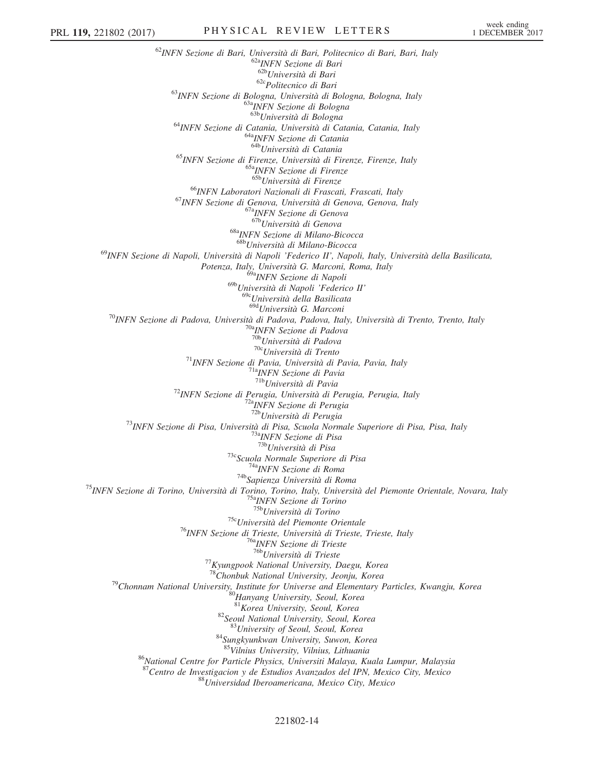<sup>62</sup>INFN Sezione di Bari, Università di Bari, Politecnico di Bari, Bari, Italy<br><sup>62a</sup>INFN Sezione di Bari<br><sup>62b</sup>Università di Bari <sup>63</sup>INFN Sezione di Bologna, Università di Bologna, Bologna, Italy <sup>63</sup><sup>63a</sup>INFN Sezione di Bologna<br><sup>63a</sup>INFN Sezione di Bologna<br><sup>63b</sup>Università di Bologna <sup>64</sup>INFN Sezione di Catania, Università di Catania, Catania, Italy<br><sup>64a</sup>INFN Sezione di Catania<br><sup>64b</sup>Università di Catania <sup>65</sup>INFN Sezione di Firenze, Università di Firenze, Firenze, Italy <sup>65a</sup>INFN Sezione di Firenze<br><sup>65b</sup>Università di Firenze <sup>66</sup>INFN Laboratori Nazionali di Frascati, Frascati, Italy <sup>67</sup>INFN Sezione di Genova, Università di Genova, Genova, Italy <sup>67a</sup>INFN Sezione di Genova<br><sup>67b</sup>Università di Genova <sup>68a</sup>INFN Sezione di Milano-Bicocca <sup>68b</sup>Università di Milano-Bicocca <sup>69</sup>INFN Sezione di Napoli, Università di Napoli 'Federico II', Napoli, Italy, Università della Basilicata, Potenza, Italy, Università G. Marconi, Roma, Italy <sup>69a</sup>INFN Sezione di Napoli <sup>69b</sup>Università di Napoli 'Federico II'<br><sup>69c</sup>Università della Basilicata<br><sup>69d</sup>Università G. Marconi <sup>70</sup>INFN Sezione di Padova, Università di Padova, Padova, Italy, Università di Trento, Trento, Italy <sup>70a</sup>INFN Sezione di Padova<br><sup>70a</sup>INFN Sezione di Padova<br><sup>70b</sup>Università di Padova <sup>70c</sup>Università di Trento <sup>70c</sup>Università di Trento <sup>71</sup>INFN Sezione di Pavia, Pavia, Italy <sup>71a</sup>INFN Sezione di Pavia<br><sup>71a</sup>Università di Pavia <sup>72</sup>INFN Sezione di Perugia, Università di Perugia, Perugia, Italy <sup>72a</sup>INFN Sezione di Perugia<br><sup>72b</sup>Università di Perugia <sup>73</sup>INFN Sezione di Pisa, Università di Pisa, Scuola Normale Superiore di Pisa, Pisa, Italy <sup>3a</sup>INFN Sezione di Pisa<br><sup>73b</sup>Università di Pisa <sup>73c</sup>Scuola Normale Superiore di Pisa<br><sup>74b</sup>Sapienza Università di Roma<br><sup>74b</sup>Sapienza Università di Roma<br><sup>75</sup>INFN Sezione di Torino, Università di Torino, Italy, Università del Piemonte Orientale, Novara, Italy<br><sup>75b</sup>Univer <sup>75c</sup>Università del Piemonte Orientale<br><sup>76</sup>INFN Sezione di Trieste, Università di Trieste, Trieste, Italy<br><sup>76a</sup>INFN Sezione di Trieste<br><sup>76b</sup>Università di Trieste <sup>77</sup>Kyungpook National University, Daegu, Korea<br><sup>78</sup>Chonbuk National University, Jeonju, Korea <sup>79</sup>Chonnam National University, Institute for Universe and Elementary Particles, Kwangju, Korea  $^{80}$ Hanyang University, Seoul, Korea  $^{81}$ Korea University, Seoul, Korea <sup>82</sup>Seoul National University, Seoul, Korea<br><sup>83</sup>University of Seoul, Seoul, Korea <sup>84</sup>Sungkyunkwan University, Suwon, Korea <sup>85</sup>Vilnius University, Vilnius, Lithuania <sup>86</sup>National Centre for Particle Physics, Universiti Malaya, Kuala Lumpur, Malaysia  $^{87}$ Centro de Investigacion y de Estudios Avanzados del IPN, Mexico City, Mexico  $^{88}$ Universidad Iberoamericana, Mexico City, Mexico

221802-14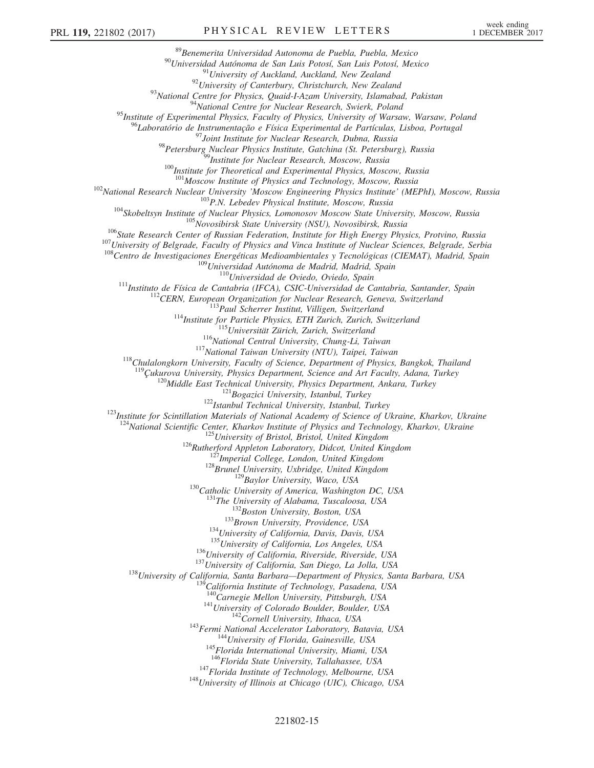<sup>89</sup>Benemerita Universidad Autonoma de Puebla, Puebla, Mexico<br><sup>90</sup>Universidad Autónoma de San Luis Potosí, San Luis Potosí, Mexico<br><sup>91</sup>University of Auckland, Auckland, New Zealand<br><sup>92</sup>University of Canterbury, Christchur <sup>95</sup>Institute of Experimental Physics, Faculty of Physics, University of Warsaw, Warsaw, Poland  $^{96}$ Laboratório de Instrumentação e Física Experimental de Partículas, Lisboa, Portugal<br><sup>97</sup>Joint Institute for Nuclear Research, Dubna, Russia<br><sup>98</sup>Petersburg Nuclear Physics Institute, Gatchina (St. Petersburg), Russia  $\begin{array}{r|l} \text{^{101}Moseow Institute of Physics and Technology, Moscow, Russia}\\ \text{^{102}National Research Nuclear Physics} & \text{^{103}P.N. Lebedev Physics, Institute} & \text{Moseow, Russia} \\ \text{^{103}P.N. Lebedev Physics, Lomonosov Moscow, Russia} \\ \text{^{104}Skobeltsyn Institute of Nuclear Physics, Lomonosov Moscow, Russia} \\ \text{^{105}Novosibirsk State University (NSU), Novosibirsk, Russia} \\ \text{^{108}State Research Center of Russian Federation, Institute for High Energy, Physics, Protvino, Russia} \\ \text{^{106}Sate Research Center of Russian Federation, Institute for High Energy Physics, Probability \\ \text{^{108}$ <sup>118</sup>Chulalongkorn University, Faculty of Science, Department of Physics, Bangkok, Thailand<br><sup>119</sup>Cukurova University, Physics Department, Science and Art Faculty, Adana, Turkey<br><sup>120</sup>Middle East Technical University, Physi <sup>124</sup>National Scientific Center, Kharkov Institute of Physics and Technology, Kharkov, Ukraine<br>
<sup>125</sup>University of Bristol, Bristol, United Kingdom<br>
<sup>126</sup>Rutherford Appleton Laboratory, Didcot, United Kingdom<br>
<sup>127</sup>Imperi <sup>139</sup>California Institute of Technology, Pasadena, USA<br><sup>140</sup>Carnegie Mellon University, Pittsburgh, USA<br><sup>141</sup>University of Colorado Boulder, Boulder, USA<br><sup>142</sup>Cornell University, Ithaca, USA<br><sup>143</sup>Fermi National Accelerato  $147$ Florida Institute of Technology, Melbourne, USA  $148$ University of Illinois at Chicago (UIC), Chicago, USA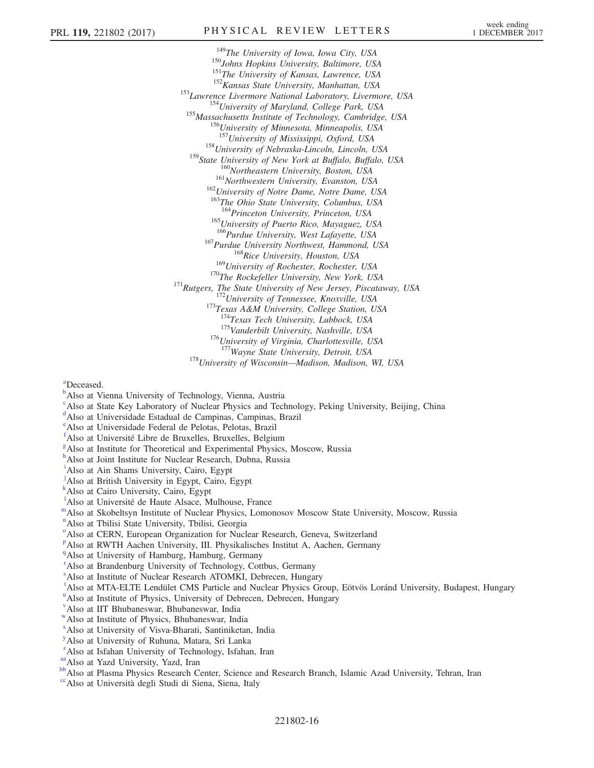<sup>149</sup>The University of Iowa, Iowa City, USA<br><sup>150</sup>Johns Hopkins University, Baltimore, USA<br><sup>151</sup>The University of Kansas, Lawrence, USA<br><sup>152</sup>Kansas State University, Manhattan, USA<br><sup>153</sup>Lawrence Livermore National Laborato <sup>158</sup>University of Nebraska-Lincoln, Lincoln, USA <sup>159</sup>State University of New York at Buffalo, Buffalo, USA<br><sup>160</sup>Northeastern University, Boston, USA<br><sup>161</sup>Northwestern University, Evanston, USA<br><sup>162</sup>University of Notre Dame, Notre Dame, USA  $^{163}$ The Ohio State University, Columbus, USA<br> $^{164}$ Princeton University, Princeton, USA <sup>165</sup>University of Puerto Rico, Mayaguez, USA  $^{166}$ Purdue University, West Lafayette, USA <sup>167</sup>Purdue University Northwest, Hammond, USA<br><sup>168</sup>Rice University, Houston, USA<br><sup>169</sup>University of Rochester, Rochester, USA <sup>170</sup>The Rockefeller University, New York, USA<br><sup>171</sup>Rutgers, The State University of New Jersey, Piscataway, USA<br><sup>172</sup>University of Tennessee, Knoxville, USA<br><sup>173</sup>Texas A&M University, College Station, USA<br><sup>174</sup>Texas Tech <sup>175</sup>Vanderbilt University, Nashville, USA  $^{176}$ University of Virginia, Charlottesville, USA <sup>177</sup>Wayne State University, Detroit, USA  $178$ University of Wisconsin—Madison, Madison, WI, USA

<span id="page-15-28"></span>[a](#page-9-0) Deceased.

- <span id="page-15-0"></span><sup>[b](#page-5-19)</sup>Also at Vienna University of Technology, Vienna, Austria
- <span id="page-15-1"></span><sup>[c](#page-6-0)</sup>Also at State Key Laboratory of Nuclear Physics and Technology, Peking University, Beijing, China
- <span id="page-15-2"></span>[d](#page-6-1) Also at Universidade Estadual de Campinas, Campinas, Brazil
- <span id="page-15-3"></span>[e](#page-6-2) Also at Universidade Federal de Pelotas, Pelotas, Brazil
- <span id="page-15-4"></span> $f$ Also at Université Libre de Bruxelles, Bruxelles, Bel[g](#page-6-4)ium  $g^{\rm g}$ Also et Institute for Theoretical and Experimental Dhysics
- <span id="page-15-5"></span>Also at Institute for Theoretical and Experimental Physics, Moscow, Russia
- <span id="page-15-6"></span><sup>[h](#page-6-5)</sup>Also at Joint Institute for Nuclear Research, Dubna, Russia
- <span id="page-15-7"></span><sup>[i](#page-6-5)</sup>Also at Ain Shams University, Cairo, Egypt
- <span id="page-15-8"></span>[j](#page-6-5) Also at British University in Egypt, Cairo, Egypt
- <span id="page-15-9"></span>[k](#page-6-5) Also at Cairo University, Cairo, Egypt
- <span id="page-15-10"></span><sup>1</sup>A[l](#page-6-6)so at Université de Haute Alsace, Mulhouse, France
- <span id="page-15-11"></span><sup>[m](#page-6-7)</sup>Also at Skobeltsyn Institute of Nuclear Physics, Lomonosov Moscow State University, Moscow, Russia
- <span id="page-15-12"></span>[n](#page-6-7) Also at Tbilisi State University, Tbilisi, Georgia
- <span id="page-15-13"></span><sup>[o](#page-6-8)</sup> Also at CERN, European Organization for Nuclear Research, Geneva, Switzerland
- <span id="page-15-14"></span><su[p](#page-6-9)>p</sup>Also at RWTH Aachen University, III. Physikalisches Institut A, Aachen, Germany
- <span id="page-15-15"></span><sup>[q](#page-6-10)</sup>Also at University of Hamburg, Hamburg, Germany
- <span id="page-15-16"></span><sup>[r](#page-6-11)</sup> Also at Brandenburg University of Technology, Cottbus, Germany
- <span id="page-15-17"></span>[s](#page-7-0) Also at Institute of Nuclear Research ATOMKI, Debrecen, Hungary
- <span id="page-15-18"></span><sup>[t](#page-7-1)</sup>Also at MTA-ELTE Lendület CMS Particle and Nuclear Physics Group, Eötvös Loránd University, Budapest, Hungary
- <span id="page-15-19"></span><s[u](#page-7-2)p>u</sup>Also at Institute of Physics, University of Debrecen, Debrecen, Hungary
- <span id="page-15-20"></span>[v](#page-7-3) Also at IIT Bhubaneswar, Bhubaneswar, India
- <span id="page-15-21"></span>[w](#page-7-3)Also at Institute of Physics, Bhubaneswar, India
- <span id="page-15-22"></span>[x](#page-7-4) Also at University of Visva-Bharati, Santiniketan, India
- <span id="page-15-23"></span>[y](#page-7-4) Also at University of Ruhuna, Matara, Sri Lanka
- <span id="page-15-24"></span><sup>[z](#page-7-5)</sup>Also at Isfahan University of Technology, Isfahan, Iran
- 
- <span id="page-15-26"></span><span id="page-15-25"></span>[aa](#page-7-5) Also at Yazd University, Yazd, Iran<br>[bb](#page-7-6)Also at Plasma Physics Research Center, Science and Research Branch, Islamic Azad University, Tehran, Iran
- <span id="page-15-27"></span><sup>[cc](#page-7-7)</sup>Also at Università degli Studi di Siena, Siena, Italy